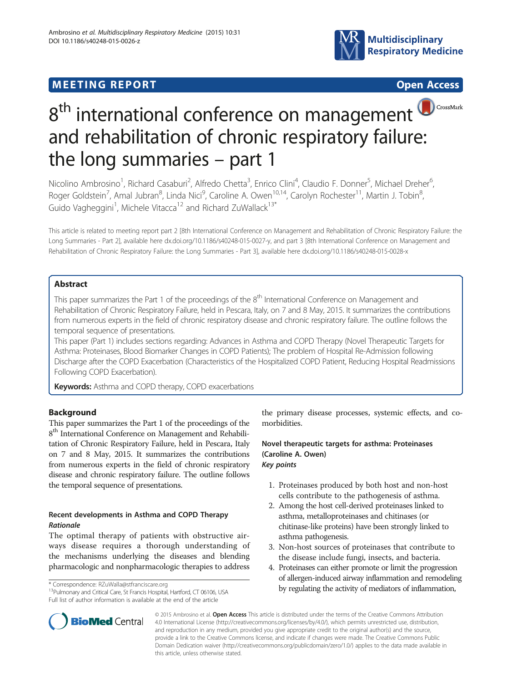# **MEETING REPORT CONSUMING A REPORT** AND CONSUMING A REPORT OF A CONSUMING A REPORT OF A CONSUMING A REPORT OF A CONSUMING A REPORT OF A CONSUMING A REPORT OF A CONSUMING A REPORT OF A CONSUMING A REPORT OF A CONSUMING A RE







# 8<sup>th</sup> international conference on management and rehabilitation of chronic respiratory failure: the long summaries – part 1

Nicolino Ambrosino<sup>1</sup>, Richard Casaburi<sup>2</sup>, Alfredo Chetta<sup>3</sup>, Enrico Clini<sup>4</sup>, Claudio F. Donner<sup>5</sup>, Michael Dreher<sup>6</sup> , Roger Goldstein<sup>7</sup>, Amal Jubran<sup>8</sup>, Linda Nici<sup>9</sup>, Caroline A. Owen<sup>10,14</sup>, Carolyn Rochester<sup>11</sup>, Martin J. Tobin<sup>8</sup> , Guido Vagheggini<sup>1</sup>, Michele Vitacca<sup>12</sup> and Richard ZuWallack<sup>13\*</sup>

This article is related to meeting report part 2 [8th International Conference on Management and Rehabilitation of Chronic Respiratory Failure: the Long Summaries - Part 2], available here dx.doi.org/10.1186/s40248-015-0027-y, and part 3 [8th International Conference on Management and Rehabilitation of Chronic Respiratory Failure: the Long Summaries - Part 3], available here dx.doi.org/10.1186/s40248-015-0028-x

# Abstract

This paper summarizes the Part 1 of the proceedings of the 8<sup>th</sup> International Conference on Management and Rehabilitation of Chronic Respiratory Failure, held in Pescara, Italy, on 7 and 8 May, 2015. It summarizes the contributions from numerous experts in the field of chronic respiratory disease and chronic respiratory failure. The outline follows the temporal sequence of presentations.

This paper (Part 1) includes sections regarding: Advances in Asthma and COPD Therapy (Novel Therapeutic Targets for Asthma: Proteinases, Blood Biomarker Changes in COPD Patients); The problem of Hospital Re-Admission following Discharge after the COPD Exacerbation (Characteristics of the Hospitalized COPD Patient, Reducing Hospital Readmissions Following COPD Exacerbation).

Keywords: Asthma and COPD therapy, COPD exacerbations

# Background

This paper summarizes the Part 1 of the proceedings of the 8<sup>th</sup> International Conference on Management and Rehabilitation of Chronic Respiratory Failure, held in Pescara, Italy on 7 and 8 May, 2015. It summarizes the contributions from numerous experts in the field of chronic respiratory disease and chronic respiratory failure. The outline follows the temporal sequence of presentations.

# Recent developments in Asthma and COPD Therapy Rationale

The optimal therapy of patients with obstructive airways disease requires a thorough understanding of the mechanisms underlying the diseases and blending pharmacologic and nonpharmacologic therapies to address

Full list of author information is available at the end of the article

the primary disease processes, systemic effects, and comorbidities.

# Novel therapeutic targets for asthma: Proteinases (Caroline A. Owen) Key points

- 1. Proteinases produced by both host and non-host cells contribute to the pathogenesis of asthma.
- 2. Among the host cell-derived proteinases linked to asthma, metalloproteinases and chitinases (or chitinase-like proteins) have been strongly linked to asthma pathogenesis.
- 3. Non-host sources of proteinases that contribute to the disease include fungi, insects, and bacteria.
- 4. Proteinases can either promote or limit the progression of allergen-induced airway inflammation and remodeling by regulating the activity of mediators of inflammation,  $\frac{13}{2}$ Pulmonary and Critical Care, St Francis Hospital, Hartford, CT 06106, USA by regulating the activity of mediators of inflammation,



© 2015 Ambrosino et al. Open Access This article is distributed under the terms of the Creative Commons Attribution 4.0 International License [\(http://creativecommons.org/licenses/by/4.0/\)](http://creativecommons.org/licenses/by/4.0/), which permits unrestricted use, distribution, and reproduction in any medium, provided you give appropriate credit to the original author(s) and the source, provide a link to the Creative Commons license, and indicate if changes were made. The Creative Commons Public Domain Dedication waiver ([http://creativecommons.org/publicdomain/zero/1.0/\)](http://creativecommons.org/publicdomain/zero/1.0/) applies to the data made available in this article, unless otherwise stated.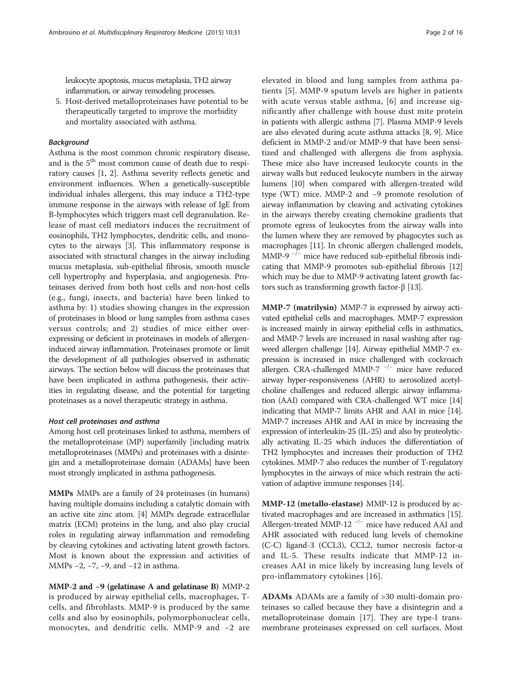leukocyte apoptosis, mucus metaplasia, TH2 airway inflammation, or airway remodeling processes.

5. Host-derived metalloproteinases have potential to be therapeutically targeted to improve the morbidity and mortality associated with asthma.

## Background

Asthma is the most common chronic respiratory disease, and is the 5<sup>th</sup> most common cause of death due to respiratory causes [[1, 2](#page-11-0)]. Asthma severity reflects genetic and environment influences. When a genetically-susceptible individual inhales allergens, this may induce a TH2-type immune response in the airways with release of IgE from B-lymphocytes which triggers mast cell degranulation. Release of mast cell mediators induces the recruitment of eosinophils, TH2 lymphocytes, dendritic cells, and monocytes to the airways [[3\]](#page-11-0). This inflammatory response is associated with structural changes in the airway including mucus metaplasia, sub-epithelial fibrosis, smooth muscle cell hypertrophy and hyperplasia, and angiogenesis. Proteinases derived from both host cells and non-host cells (e.g., fungi, insects, and bacteria) have been linked to asthma by: 1) studies showing changes in the expression of proteinases in blood or lung samples from asthma cases versus controls; and 2) studies of mice either overexpressing or deficient in proteinases in models of allergeninduced airway inflammation. Proteinases promote or limit the development of all pathologies observed in asthmatic airways. The section below will discuss the proteinases that have been implicated in asthma pathogenesis, their activities in regulating disease, and the potential for targeting proteinases as a novel therapeutic strategy in asthma.

## Host cell proteinases and asthma

Among host cell proteinases linked to asthma, members of the metalloproteinase (MP) superfamily [including matrix metalloproteinases (MMPs) and proteinases with a disintegin and a metalloproteinase domain (ADAMs] have been most strongly implicated in asthma pathogenesis.

MMPs MMPs are a family of 24 proteinases (in humans) having multiple domains including a catalytic domain with an active site zinc atom. [[4](#page-11-0)] MMPs degrade extracellular matrix (ECM) proteins in the lung, and also play crucial roles in regulating airway inflammation and remodeling by cleaving cytokines and activating latent growth factors. Most is known about the expression and activities of MMPs −2, −7, −9, and −12 in asthma.

MMP-2 and −9 (gelatinase A and gelatinase B) MMP-2 is produced by airway epithelial cells, macrophages, Tcells, and fibroblasts. MMP-9 is produced by the same cells and also by eosinophils, polymorphonuclear cells, monocytes, and dendritic cells. MMP-9 and −2 are elevated in blood and lung samples from asthma patients [[5](#page-11-0)]. MMP-9 sputum levels are higher in patients with acute versus stable asthma, [[6](#page-11-0)] and increase significantly after challenge with house dust mite protein in patients with allergic asthma [\[7](#page-11-0)]. Plasma MMP-9 levels are also elevated during acute asthma attacks [\[8, 9](#page-11-0)]. Mice deficient in MMP-2 and/or MMP-9 that have been sensitized and challenged with allergens die from asphyxia. These mice also have increased leukocyte counts in the airway walls but reduced leukocyte numbers in the airway lumens [\[10\]](#page-11-0) when compared with allergen-treated wild type (WT) mice. MMP-2 and −9 promote resolution of airway inflammation by cleaving and activating cytokines in the airways thereby creating chemokine gradients that promote egress of leukocytes from the airway walls into the lumen where they are removed by phagocytes such as macrophages [[11](#page-11-0)]. In chronic allergen challenged models, MMP-9<sup>-/-</sup> mice have reduced sub-epithelial fibrosis indicating that MMP-9 promotes sub-epithelial fibrosis [[12](#page-11-0)] which may be due to MMP-9 activating latent growth factors such as transforming growth factor-β [\[13\]](#page-11-0).

MMP-7 (matrilysin) MMP-7 is expressed by airway activated epithelial cells and macrophages. MMP-7 expression is increased mainly in airway epithelial cells in asthmatics, and MMP-7 levels are increased in nasal washing after ragweed allergen challenge [[14](#page-11-0)]. Airway epithelial MMP-7 expression is increased in mice challenged with cockroach allergen. CRA-challenged MMP-7  $^{-/-}$  mice have reduced airway hyper-responsiveness (AHR) to aerosolized acetylcholine challenges and reduced allergic airway inflammation (AAI) compared with CRA-challenged WT mice [\[14](#page-11-0)] indicating that MMP-7 limits AHR and AAI in mice [\[14](#page-11-0)]. MMP-7 increases AHR and AAI in mice by increasing the expression of interleukin-25 (IL-25) and also by proteolytically activating IL-25 which induces the differentiation of TH2 lymphocytes and increases their production of TH2 cytokines. MMP-7 also reduces the number of T-regulatory lymphocytes in the airways of mice which restrain the activation of adaptive immune responses [[14](#page-11-0)].

MMP-12 (metallo-elastase) MMP-12 is produced by activated macrophages and are increased in asthmatics [[15](#page-11-0)]. Allergen-treated MMP-12  $^{-/-}$  mice have reduced AAI and AHR associated with reduced lung levels of chemokine (C-C) ligand-3 (CCL3), CCL2, tumor necrosis factor-α and IL-5. These results indicate that MMP-12 increases AAI in mice likely by increasing lung levels of pro-inflammatory cytokines [\[16\]](#page-12-0).

ADAMs ADAMs are a family of >30 multi-domain proteinases so called because they have a disintegrin and a metalloproteinase domain [[17](#page-12-0)]. They are type-I transmembrane proteinases expressed on cell surfaces. Most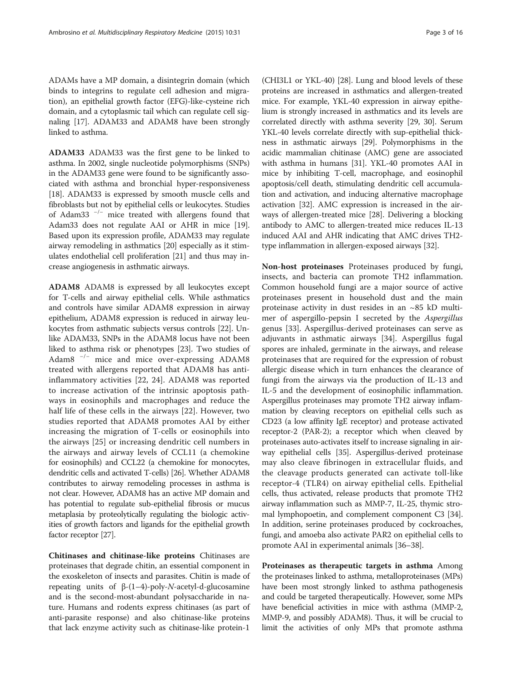ADAMs have a MP domain, a disintegrin domain (which binds to integrins to regulate cell adhesion and migration), an epithelial growth factor (EFG)-like-cysteine rich domain, and a cytoplasmic tail which can regulate cell signaling [\[17\]](#page-12-0). ADAM33 and ADAM8 have been strongly linked to asthma.

ADAM33 ADAM33 was the first gene to be linked to asthma. In 2002, single nucleotide polymorphisms (SNPs) in the ADAM33 gene were found to be significantly associated with asthma and bronchial hyper-responsiveness [[18](#page-12-0)]. ADAM33 is expressed by smooth muscle cells and fibroblasts but not by epithelial cells or leukocytes. Studies of Adam33 <sup>−</sup>/<sup>−</sup> mice treated with allergens found that Adam33 does not regulate AAI or AHR in mice [[19](#page-12-0)]. Based upon its expression profile, ADAM33 may regulate airway remodeling in asthmatics [\[20\]](#page-12-0) especially as it stimulates endothelial cell proliferation [[21\]](#page-12-0) and thus may increase angiogenesis in asthmatic airways.

ADAM8 ADAM8 is expressed by all leukocytes except for T-cells and airway epithelial cells. While asthmatics and controls have similar ADAM8 expression in airway epithelium, ADAM8 expression is reduced in airway leukocytes from asthmatic subjects versus controls [\[22](#page-12-0)]. Unlike ADAM33, SNPs in the ADAM8 locus have not been liked to asthma risk or phenotypes [[23](#page-12-0)]. Two studies of Adam8 <sup>−</sup>/<sup>−</sup> mice and mice over-expressing ADAM8 treated with allergens reported that ADAM8 has antiinflammatory activities [\[22](#page-12-0), [24\]](#page-12-0). ADAM8 was reported to increase activation of the intrinsic apoptosis pathways in eosinophils and macrophages and reduce the half life of these cells in the airways [\[22](#page-12-0)]. However, two studies reported that ADAM8 promotes AAI by either increasing the migration of T-cells or eosinophils into the airways [\[25](#page-12-0)] or increasing dendritic cell numbers in the airways and airway levels of CCL11 (a chemokine for eosinophils) and CCL22 (a chemokine for monocytes, dendritic cells and activated T-cells) [\[26](#page-12-0)]. Whether ADAM8 contributes to airway remodeling processes in asthma is not clear. However, ADAM8 has an active MP domain and has potential to regulate sub-epithelial fibrosis or mucus metaplasia by proteolytically regulating the biologic activities of growth factors and ligands for the epithelial growth factor receptor [\[27\]](#page-12-0).

Chitinases and chitinase-like proteins Chitinases are proteinases that degrade chitin, an essential component in the exoskeleton of insects and parasites. Chitin is made of repeating units of  $β-(1-4)$ -poly-N-acetyl-d-glucosamine and is the second-most-abundant polysaccharide in nature. Humans and rodents express chitinases (as part of anti-parasite response) and also chitinase-like proteins that lack enzyme activity such as chitinase-like protein-1

(CHI3L1 or YKL-40) [[28](#page-12-0)]. Lung and blood levels of these proteins are increased in asthmatics and allergen-treated mice. For example, YKL-40 expression in airway epithelium is strongly increased in asthmatics and its levels are correlated directly with asthma severity [[29, 30\]](#page-12-0). Serum YKL-40 levels correlate directly with sup-epithelial thickness in asthmatic airways [[29](#page-12-0)]. Polymorphisms in the acidic mammalian chitinase (AMC) gene are associated with asthma in humans [[31\]](#page-12-0). YKL-40 promotes AAI in mice by inhibiting T-cell, macrophage, and eosinophil apoptosis/cell death, stimulating dendritic cell accumulation and activation, and inducing alternative macrophage activation [[32\]](#page-12-0). AMC expression is increased in the airways of allergen-treated mice [\[28](#page-12-0)]. Delivering a blocking antibody to AMC to allergen-treated mice reduces IL-13 induced AAI and AHR indicating that AMC drives TH2 type inflammation in allergen-exposed airways [\[32\]](#page-12-0).

Non-host proteinases Proteinases produced by fungi, insects, and bacteria can promote TH2 inflammation. Common household fungi are a major source of active proteinases present in household dust and the main proteinase activity in dust resides in an ~85 kD multimer of aspergillo-pepsin I secreted by the Aspergillus genus [\[33](#page-12-0)]. Aspergillus-derived proteinases can serve as adjuvants in asthmatic airways [[34\]](#page-12-0). Aspergillus fugal spores are inhaled, germinate in the airways, and release proteinases that are required for the expression of robust allergic disease which in turn enhances the clearance of fungi from the airways via the production of IL-13 and IL-5 and the development of eosinophilic inflammation. Aspergillus proteinases may promote TH2 airway inflammation by cleaving receptors on epithelial cells such as CD23 (a low affinity IgE receptor) and protease activated receptor-2 (PAR-2); a receptor which when cleaved by proteinases auto-activates itself to increase signaling in airway epithelial cells [[35](#page-12-0)]. Aspergillus-derived proteinase may also cleave fibrinogen in extracellular fluids, and the cleavage products generated can activate toll-like receptor-4 (TLR4) on airway epithelial cells. Epithelial cells, thus activated, release products that promote TH2 airway inflammation such as MMP-7, IL-25, thymic stromal lymphopoetin, and complement component C3 [[34](#page-12-0)]. In addition, serine proteinases produced by cockroaches, fungi, and amoeba also activate PAR2 on epithelial cells to promote AAI in experimental animals [[36](#page-12-0)–[38\]](#page-12-0).

Proteinases as therapeutic targets in asthma Among the proteinases linked to asthma, metalloproteinases (MPs) have been most strongly linked to asthma pathogenesis and could be targeted therapeutically. However, some MPs have beneficial activities in mice with asthma (MMP-2, MMP-9, and possibly ADAM8). Thus, it will be crucial to limit the activities of only MPs that promote asthma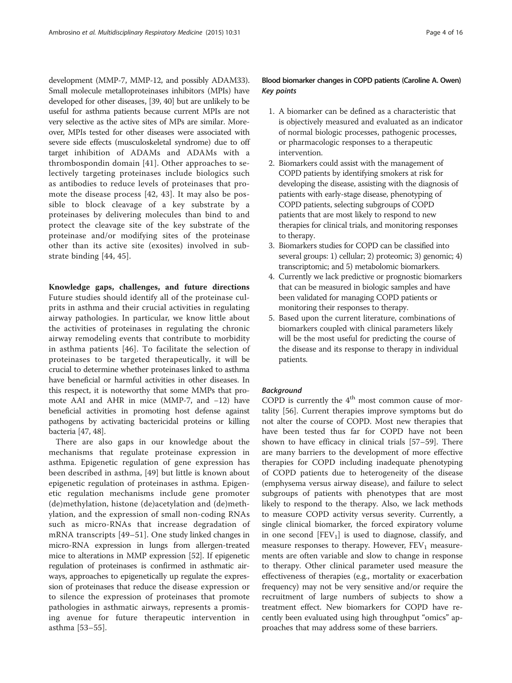development (MMP-7, MMP-12, and possibly ADAM33). Small molecule metalloproteinases inhibitors (MPIs) have developed for other diseases, [\[39, 40\]](#page-12-0) but are unlikely to be useful for asthma patients because current MPIs are not very selective as the active sites of MPs are similar. Moreover, MPIs tested for other diseases were associated with severe side effects (musculoskeletal syndrome) due to off target inhibition of ADAMs and ADAMs with a thrombospondin domain [[41](#page-12-0)]. Other approaches to selectively targeting proteinases include biologics such as antibodies to reduce levels of proteinases that promote the disease process [\[42](#page-12-0), [43\]](#page-12-0). It may also be possible to block cleavage of a key substrate by a proteinases by delivering molecules than bind to and protect the cleavage site of the key substrate of the proteinase and/or modifying sites of the proteinase other than its active site (exosites) involved in substrate binding [\[44, 45\]](#page-12-0).

Knowledge gaps, challenges, and future directions Future studies should identify all of the proteinase culprits in asthma and their crucial activities in regulating airway pathologies. In particular, we know little about the activities of proteinases in regulating the chronic airway remodeling events that contribute to morbidity in asthma patients [\[46\]](#page-12-0). To facilitate the selection of proteinases to be targeted therapeutically, it will be crucial to determine whether proteinases linked to asthma have beneficial or harmful activities in other diseases. In this respect, it is noteworthy that some MMPs that promote AAI and AHR in mice (MMP-7, and −12) have beneficial activities in promoting host defense against pathogens by activating bactericidal proteins or killing bacteria [[47](#page-12-0), [48\]](#page-12-0).

There are also gaps in our knowledge about the mechanisms that regulate proteinase expression in asthma. Epigenetic regulation of gene expression has been described in asthma, [[49\]](#page-12-0) but little is known about epigenetic regulation of proteinases in asthma. Epigenetic regulation mechanisms include gene promoter (de)methylation, histone (de)acetylation and (de)methylation, and the expression of small non-coding RNAs such as micro-RNAs that increase degradation of mRNA transcripts [[49](#page-12-0)–[51](#page-12-0)]. One study linked changes in micro-RNA expression in lungs from allergen-treated mice to alterations in MMP expression [[52](#page-12-0)]. If epigenetic regulation of proteinases is confirmed in asthmatic airways, approaches to epigenetically up regulate the expression of proteinases that reduce the disease expression or to silence the expression of proteinases that promote pathologies in asthmatic airways, represents a promising avenue for future therapeutic intervention in asthma [[53](#page-12-0)–[55\]](#page-12-0).

## Blood biomarker changes in COPD patients (Caroline A. Owen) Key points

- 1. A biomarker can be defined as a characteristic that is objectively measured and evaluated as an indicator of normal biologic processes, pathogenic processes, or pharmacologic responses to a therapeutic intervention.
- 2. Biomarkers could assist with the management of COPD patients by identifying smokers at risk for developing the disease, assisting with the diagnosis of patients with early-stage disease, phenotyping of COPD patients, selecting subgroups of COPD patients that are most likely to respond to new therapies for clinical trials, and monitoring responses to therapy.
- 3. Biomarkers studies for COPD can be classified into several groups: 1) cellular; 2) proteomic; 3) genomic; 4) transcriptomic; and 5) metabolomic biomarkers.
- 4. Currently we lack predictive or prognostic biomarkers that can be measured in biologic samples and have been validated for managing COPD patients or monitoring their responses to therapy.
- 5. Based upon the current literature, combinations of biomarkers coupled with clinical parameters likely will be the most useful for predicting the course of the disease and its response to therapy in individual patients.

#### Background

COPD is currently the  $4<sup>th</sup>$  most common cause of mortality [[56\]](#page-12-0). Current therapies improve symptoms but do not alter the course of COPD. Most new therapies that have been tested thus far for COPD have not been shown to have efficacy in clinical trials [\[57](#page-12-0)–[59\]](#page-12-0). There are many barriers to the development of more effective therapies for COPD including inadequate phenotyping of COPD patients due to heterogeneity of the disease (emphysema versus airway disease), and failure to select subgroups of patients with phenotypes that are most likely to respond to the therapy. Also, we lack methods to measure COPD activity versus severity. Currently, a single clinical biomarker, the forced expiratory volume in one second  $[FEV<sub>1</sub>]$  is used to diagnose, classify, and measure responses to therapy. However,  $FEV<sub>1</sub>$  measurements are often variable and slow to change in response to therapy. Other clinical parameter used measure the effectiveness of therapies (e.g., mortality or exacerbation frequency) may not be very sensitive and/or require the recruitment of large numbers of subjects to show a treatment effect. New biomarkers for COPD have recently been evaluated using high throughput "omics" approaches that may address some of these barriers.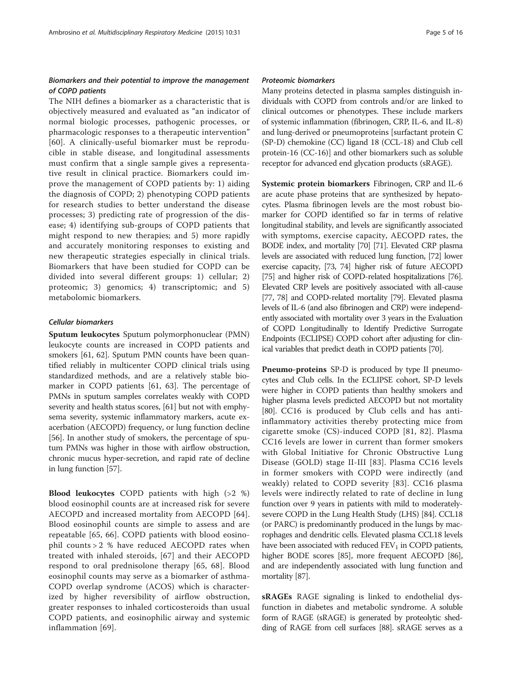## Biomarkers and their potential to improve the management of COPD patients

The NIH defines a biomarker as a characteristic that is objectively measured and evaluated as "an indicator of normal biologic processes, pathogenic processes, or pharmacologic responses to a therapeutic intervention" [[60](#page-12-0)]. A clinically-useful biomarker must be reproducible in stable disease, and longitudinal assessments must confirm that a single sample gives a representative result in clinical practice. Biomarkers could improve the management of COPD patients by: 1) aiding the diagnosis of COPD; 2) phenotyping COPD patients for research studies to better understand the disease processes; 3) predicting rate of progression of the disease; 4) identifying sub-groups of COPD patients that might respond to new therapies; and 5) more rapidly and accurately monitoring responses to existing and new therapeutic strategies especially in clinical trials. Biomarkers that have been studied for COPD can be divided into several different groups: 1) cellular; 2) proteomic; 3) genomics; 4) transcriptomic; and 5) metabolomic biomarkers.

#### Cellular biomarkers

Sputum leukocytes Sputum polymorphonuclear (PMN) leukocyte counts are increased in COPD patients and smokers [[61, 62](#page-12-0)]. Sputum PMN counts have been quantified reliably in multicenter COPD clinical trials using standardized methods, and are a relatively stable biomarker in COPD patients [[61, 63](#page-12-0)]. The percentage of PMNs in sputum samples correlates weakly with COPD severity and health status scores, [\[61](#page-12-0)] but not with emphysema severity, systemic inflammatory markers, acute exacerbation (AECOPD) frequency, or lung function decline [[56](#page-12-0)]. In another study of smokers, the percentage of sputum PMNs was higher in those with airflow obstruction, chronic mucus hyper-secretion, and rapid rate of decline in lung function [[57](#page-12-0)].

Blood leukocytes COPD patients with high (>2 %) blood eosinophil counts are at increased risk for severe AECOPD and increased mortality from AECOPD [[64](#page-13-0)]. Blood eosinophil counts are simple to assess and are repeatable [[65, 66\]](#page-13-0). COPD patients with blood eosinophil counts > 2 % have reduced AECOPD rates when treated with inhaled steroids, [[67\]](#page-13-0) and their AECOPD respond to oral prednisolone therapy [[65, 68\]](#page-13-0). Blood eosinophil counts may serve as a biomarker of asthma-COPD overlap syndrome (ACOS) which is characterized by higher reversibility of airflow obstruction, greater responses to inhaled corticosteroids than usual COPD patients, and eosinophilic airway and systemic inflammation [[69\]](#page-13-0).

#### Proteomic biomarkers

Many proteins detected in plasma samples distinguish individuals with COPD from controls and/or are linked to clinical outcomes or phenotypes. These include markers of systemic inflammation (fibrinogen, CRP, IL-6, and IL-8) and lung-derived or pneumoproteins [surfactant protein C (SP-D) chemokine (CC) ligand 18 (CCL-18) and Club cell protein-16 (CC-16)] and other biomarkers such as soluble receptor for advanced end glycation products (sRAGE).

Systemic protein biomarkers Fibrinogen, CRP and IL-6 are acute phase proteins that are synthesized by hepatocytes. Plasma fibrinogen levels are the most robust biomarker for COPD identified so far in terms of relative longitudinal stability, and levels are significantly associated with symptoms, exercise capacity, AECOPD rates, the BODE index, and mortality [[70](#page-13-0)] [\[71\]](#page-13-0). Elevated CRP plasma levels are associated with reduced lung function, [\[72\]](#page-13-0) lower exercise capacity, [\[73](#page-13-0), [74](#page-13-0)] higher risk of future AECOPD [[75\]](#page-13-0) and higher risk of COPD-related hospitalizations [\[76](#page-13-0)]. Elevated CRP levels are positively associated with all-cause [[77, 78\]](#page-13-0) and COPD-related mortality [\[79\]](#page-13-0). Elevated plasma levels of IL-6 (and also fibrinogen and CRP) were independently associated with mortality over 3 years in the Evaluation of COPD Longitudinally to Identify Predictive Surrogate Endpoints (ECLIPSE) COPD cohort after adjusting for clinical variables that predict death in COPD patients [[70](#page-13-0)].

Pneumo-proteins SP-D is produced by type II pneumocytes and Club cells. In the ECLIPSE cohort, SP-D levels were higher in COPD patients than healthy smokers and higher plasma levels predicted AECOPD but not mortality [[80](#page-13-0)]. CC16 is produced by Club cells and has antiinflammatory activities thereby protecting mice from cigarette smoke (CS)-induced COPD [[81](#page-13-0), [82\]](#page-13-0). Plasma CC16 levels are lower in current than former smokers with Global Initiative for Chronic Obstructive Lung Disease (GOLD) stage II-III [[83\]](#page-13-0). Plasma CC16 levels in former smokers with COPD were indirectly (and weakly) related to COPD severity [\[83\]](#page-13-0). CC16 plasma levels were indirectly related to rate of decline in lung function over 9 years in patients with mild to moderatelysevere COPD in the Lung Health Study (LHS) [\[84\]](#page-13-0). CCL18 (or PARC) is predominantly produced in the lungs by macrophages and dendritic cells. Elevated plasma CCL18 levels have been associated with reduced  $FEV<sub>1</sub>$  in COPD patients, higher BODE scores [\[85](#page-13-0)], more frequent AECOPD [\[86](#page-13-0)], and are independently associated with lung function and mortality [\[87\]](#page-13-0).

sRAGEs RAGE signaling is linked to endothelial dysfunction in diabetes and metabolic syndrome. A soluble form of RAGE (sRAGE) is generated by proteolytic shedding of RAGE from cell surfaces [\[88](#page-13-0)]. sRAGE serves as a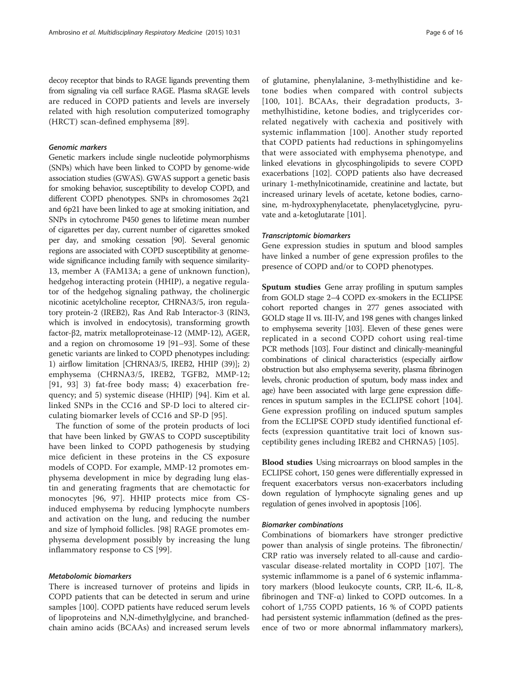decoy receptor that binds to RAGE ligands preventing them from signaling via cell surface RAGE. Plasma sRAGE levels are reduced in COPD patients and levels are inversely related with high resolution computerized tomography (HRCT) scan-defined emphysema [[89\]](#page-13-0).

#### Genomic markers

Genetic markers include single nucleotide polymorphisms (SNPs) which have been linked to COPD by genome-wide association studies (GWAS). GWAS support a genetic basis for smoking behavior, susceptibility to develop COPD, and different COPD phenotypes. SNPs in chromosomes 2q21 and 6p21 have been linked to age at smoking initiation, and SNPs in cytochrome P450 genes to lifetime mean number of cigarettes per day, current number of cigarettes smoked per day, and smoking cessation [\[90\]](#page-13-0). Several genomic regions are associated with COPD susceptibility at genomewide significance including family with sequence similarity-13, member A (FAM13A; a gene of unknown function), hedgehog interacting protein (HHIP), a negative regulator of the hedgehog signaling pathway, the cholinergic nicotinic acetylcholine receptor, CHRNA3/5, iron regulatory protein-2 (IREB2), Ras And Rab Interactor-3 (RIN3, which is involved in endocytosis), transforming growth factor-β2, matrix metalloproteinase-12 (MMP-12), AGER, and a region on chromosome 19 [\[91](#page-13-0)–[93\]](#page-13-0). Some of these genetic variants are linked to COPD phenotypes including: 1) airflow limitation [CHRNA3/5, IREB2, HHIP (39)]; 2) emphysema (CHRNA3/5, IREB2, TGFB2, MMP-12; [[91](#page-13-0), [93](#page-13-0)] 3) fat-free body mass; 4) exacerbation frequency; and 5) systemic disease (HHIP) [[94\]](#page-13-0). Kim et al. linked SNPs in the CC16 and SP-D loci to altered circulating biomarker levels of CC16 and SP-D [[95](#page-13-0)].

The function of some of the protein products of loci that have been linked by GWAS to COPD susceptibility have been linked to COPD pathogenesis by studying mice deficient in these proteins in the CS exposure models of COPD. For example, MMP-12 promotes emphysema development in mice by degrading lung elastin and generating fragments that are chemotactic for monocytes [[96](#page-13-0), [97\]](#page-13-0). HHIP protects mice from CSinduced emphysema by reducing lymphocyte numbers and activation on the lung, and reducing the number and size of lymphoid follicles. [\[98](#page-13-0)] RAGE promotes emphysema development possibly by increasing the lung inflammatory response to CS [[99\]](#page-13-0).

#### Metabolomic biomarkers

There is increased turnover of proteins and lipids in COPD patients that can be detected in serum and urine samples [\[100\]](#page-13-0). COPD patients have reduced serum levels of lipoproteins and N,N-dimethylglycine, and branchedchain amino acids (BCAAs) and increased serum levels

of glutamine, phenylalanine, 3-methylhistidine and ketone bodies when compared with control subjects [[100](#page-13-0), [101](#page-13-0)]. BCAAs, their degradation products, 3 methylhistidine, ketone bodies, and triglycerides correlated negatively with cachexia and positively with systemic inflammation [[100](#page-13-0)]. Another study reported that COPD patients had reductions in sphingomyelins that were associated with emphysema phenotype, and linked elevations in glycosphingolipids to severe COPD exacerbations [[102](#page-13-0)]. COPD patients also have decreased urinary 1-methylnicotinamide, creatinine and lactate, but increased urinary levels of acetate, ketone bodies, carnosine, m-hydroxyphenylacetate, phenylacetyglycine, pyruvate and a-ketoglutarate [[101](#page-13-0)].

#### Transcriptomic biomarkers

Gene expression studies in sputum and blood samples have linked a number of gene expression profiles to the presence of COPD and/or to COPD phenotypes.

Sputum studies Gene array profiling in sputum samples from GOLD stage 2–4 COPD ex-smokers in the ECLIPSE cohort reported changes in 277 genes associated with GOLD stage II vs. III-IV, and 198 genes with changes linked to emphysema severity [\[103\]](#page-13-0). Eleven of these genes were replicated in a second COPD cohort using real-time PCR methods [\[103](#page-13-0)]. Four distinct and clinically-meaningful combinations of clinical characteristics (especially airflow obstruction but also emphysema severity, plasma fibrinogen levels, chronic production of sputum, body mass index and age) have been associated with large gene expression differences in sputum samples in the ECLIPSE cohort [\[104](#page-13-0)]. Gene expression profiling on induced sputum samples from the ECLIPSE COPD study identified functional effects (expression quantitative trait loci of known susceptibility genes including IREB2 and CHRNA5) [[105](#page-13-0)].

Blood studies Using microarrays on blood samples in the ECLIPSE cohort, 150 genes were differentially expressed in frequent exacerbators versus non-exacerbators including down regulation of lymphocyte signaling genes and up regulation of genes involved in apoptosis [[106\]](#page-13-0).

## Biomarker combinations

Combinations of biomarkers have stronger predictive power than analysis of single proteins. The fibronectin/ CRP ratio was inversely related to all-cause and cardiovascular disease-related mortality in COPD [[107](#page-13-0)]. The systemic inflammome is a panel of 6 systemic inflammatory markers (blood leukocyte counts, CRP, IL-6, IL-8, fibrinogen and TNF-α) linked to COPD outcomes. In a cohort of 1,755 COPD patients, 16 % of COPD patients had persistent systemic inflammation (defined as the presence of two or more abnormal inflammatory markers),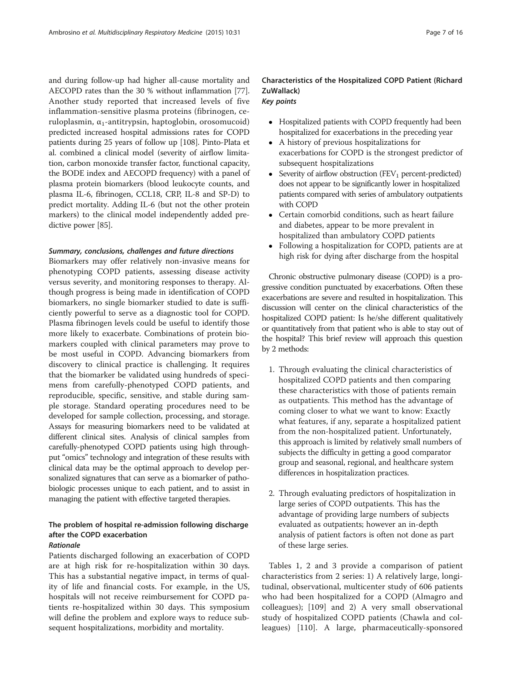and during follow-up had higher all-cause mortality and AECOPD rates than the 30 % without inflammation [[77](#page-13-0)]. Another study reported that increased levels of five inflammation-sensitive plasma proteins (fibrinogen, ceruloplasmin,  $α_1$ -antitrypsin, haptoglobin, orosomucoid) predicted increased hospital admissions rates for COPD patients during 25 years of follow up [[108](#page-14-0)]. Pinto-Plata et al. combined a clinical model (severity of airflow limitation, carbon monoxide transfer factor, functional capacity, the BODE index and AECOPD frequency) with a panel of plasma protein biomarkers (blood leukocyte counts, and plasma IL-6, fibrinogen, CCL18, CRP, IL-8 and SP-D) to predict mortality. Adding IL-6 (but not the other protein markers) to the clinical model independently added predictive power [\[85\]](#page-13-0).

## Summary, conclusions, challenges and future directions

Biomarkers may offer relatively non-invasive means for phenotyping COPD patients, assessing disease activity versus severity, and monitoring responses to therapy. Although progress is being made in identification of COPD biomarkers, no single biomarker studied to date is sufficiently powerful to serve as a diagnostic tool for COPD. Plasma fibrinogen levels could be useful to identify those more likely to exacerbate. Combinations of protein biomarkers coupled with clinical parameters may prove to be most useful in COPD. Advancing biomarkers from discovery to clinical practice is challenging. It requires that the biomarker be validated using hundreds of specimens from carefully-phenotyped COPD patients, and reproducible, specific, sensitive, and stable during sample storage. Standard operating procedures need to be developed for sample collection, processing, and storage. Assays for measuring biomarkers need to be validated at different clinical sites. Analysis of clinical samples from carefully-phenotyped COPD patients using high throughput "omics" technology and integration of these results with clinical data may be the optimal approach to develop personalized signatures that can serve as a biomarker of pathobiologic processes unique to each patient, and to assist in managing the patient with effective targeted therapies.

# The problem of hospital re-admission following discharge after the COPD exacerbation

# Rationale

Patients discharged following an exacerbation of COPD are at high risk for re-hospitalization within 30 days. This has a substantial negative impact, in terms of quality of life and financial costs. For example, in the US, hospitals will not receive reimbursement for COPD patients re-hospitalized within 30 days. This symposium will define the problem and explore ways to reduce subsequent hospitalizations, morbidity and mortality.

# Characteristics of the Hospitalized COPD Patient (Richard ZuWallack)

# Key points

- Hospitalized patients with COPD frequently had been hospitalized for exacerbations in the preceding year
- A history of previous hospitalizations for exacerbations for COPD is the strongest predictor of subsequent hospitalizations
- Severity of airflow obstruction (FEV<sub>1</sub> percent-predicted) does not appear to be significantly lower in hospitalized patients compared with series of ambulatory outpatients with COPD
- Certain comorbid conditions, such as heart failure and diabetes, appear to be more prevalent in hospitalized than ambulatory COPD patients
- Following a hospitalization for COPD, patients are at high risk for dying after discharge from the hospital

Chronic obstructive pulmonary disease (COPD) is a progressive condition punctuated by exacerbations. Often these exacerbations are severe and resulted in hospitalization. This discussion will center on the clinical characteristics of the hospitalized COPD patient: Is he/she different qualitatively or quantitatively from that patient who is able to stay out of the hospital? This brief review will approach this question by 2 methods:

- 1. Through evaluating the clinical characteristics of hospitalized COPD patients and then comparing these characteristics with those of patients remain as outpatients. This method has the advantage of coming closer to what we want to know: Exactly what features, if any, separate a hospitalized patient from the non-hospitalized patient. Unfortunately, this approach is limited by relatively small numbers of subjects the difficulty in getting a good comparator group and seasonal, regional, and healthcare system differences in hospitalization practices.
- 2. Through evaluating predictors of hospitalization in large series of COPD outpatients. This has the advantage of providing large numbers of subjects evaluated as outpatients; however an in-depth analysis of patient factors is often not done as part of these large series.

Tables [1](#page-7-0), [2](#page-7-0) and [3](#page-8-0) provide a comparison of patient characteristics from 2 series: 1) A relatively large, longitudinal, observational, multicenter study of 606 patients who had been hospitalized for a COPD (Almagro and colleagues); [[109\]](#page-14-0) and 2) A very small observational study of hospitalized COPD patients (Chawla and colleagues) [[110\]](#page-14-0). A large, pharmaceutically-sponsored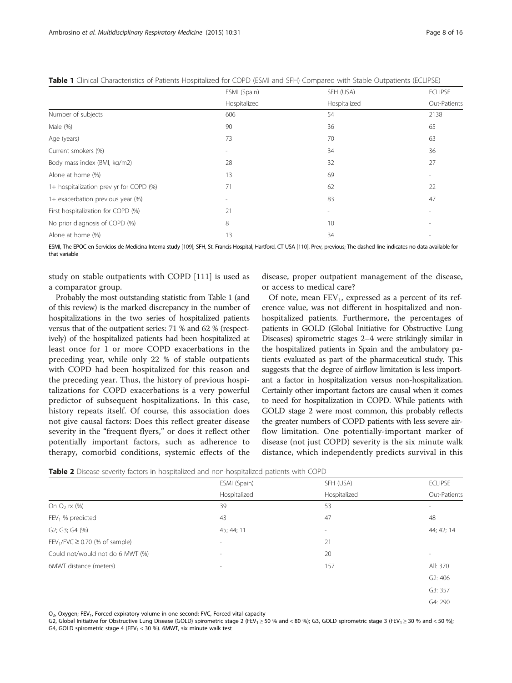|                                         | ESMI (Spain)             | SFH (USA)                | <b>ECLIPSE</b> |
|-----------------------------------------|--------------------------|--------------------------|----------------|
|                                         | Hospitalized             | Hospitalized             | Out-Patients   |
| Number of subjects                      | 606                      | 54                       | 2138           |
| Male (%)                                | 90                       | 36                       | 65             |
| Age (years)                             | 73                       | 70                       | 63             |
| Current smokers (%)                     | $\overline{\phantom{a}}$ | 34                       | 36             |
| Body mass index (BMI, kg/m2)            | 28                       | 32                       | 27             |
| Alone at home (%)                       | 13                       | 69                       |                |
| 1+ hospitalization prev yr for COPD (%) | 71                       | 62                       | 22             |
| 1+ exacerbation previous year (%)       | $\overline{\phantom{a}}$ | 83                       | 47             |
| First hospitalization for COPD (%)      | 21                       | $\overline{\phantom{a}}$ |                |
| No prior diagnosis of COPD (%)          | 8                        | 10                       |                |
| Alone at home (%)                       | 13                       | 34                       |                |

<span id="page-7-0"></span>

|  |  | Table 1 Clinical Characteristics of Patients Hospitalized for COPD (ESMI and SFH) Compared with Stable Outpatients (ECLIPSE) |  |  |  |  |  |  |  |  |  |  |  |
|--|--|------------------------------------------------------------------------------------------------------------------------------|--|--|--|--|--|--|--|--|--|--|--|
|--|--|------------------------------------------------------------------------------------------------------------------------------|--|--|--|--|--|--|--|--|--|--|--|

ESMI, The EPOC en Servicios de Medicina Interna study [\[109](#page-14-0)]; SFH, St. Francis Hospital, Hartford, CT USA [\[110](#page-14-0)]. Prev, previous; The dashed line indicates no data available for that variable

study on stable outpatients with COPD [[111\]](#page-14-0) is used as a comparator group.

Probably the most outstanding statistic from Table 1 (and of this review) is the marked discrepancy in the number of hospitalizations in the two series of hospitalized patients versus that of the outpatient series: 71 % and 62 % (respectively) of the hospitalized patients had been hospitalized at least once for 1 or more COPD exacerbations in the preceding year, while only 22 % of stable outpatients with COPD had been hospitalized for this reason and the preceding year. Thus, the history of previous hospitalizations for COPD exacerbations is a very powerful predictor of subsequent hospitalizations. In this case, history repeats itself. Of course, this association does not give causal factors: Does this reflect greater disease severity in the "frequent flyers," or does it reflect other potentially important factors, such as adherence to therapy, comorbid conditions, systemic effects of the

disease, proper outpatient management of the disease, or access to medical care?

Of note, mean  $FEV_1$ , expressed as a percent of its reference value, was not different in hospitalized and nonhospitalized patients. Furthermore, the percentages of patients in GOLD (Global Initiative for Obstructive Lung Diseases) spirometric stages 2–4 were strikingly similar in the hospitalized patients in Spain and the ambulatory patients evaluated as part of the pharmaceutical study. This suggests that the degree of airflow limitation is less important a factor in hospitalization versus non-hospitalization. Certainly other important factors are causal when it comes to need for hospitalization in COPD. While patients with GOLD stage 2 were most common, this probably reflects the greater numbers of COPD patients with less severe airflow limitation. One potentially-important marker of disease (not just COPD) severity is the six minute walk distance, which independently predicts survival in this

|  |  |  | Table 2 Disease severity factors in hospitalized and non-hospitalized patients with COPD |  |  |
|--|--|--|------------------------------------------------------------------------------------------|--|--|
|--|--|--|------------------------------------------------------------------------------------------|--|--|

|                                                 | ESMI (Spain)             | SFH (USA)    | <b>ECLIPSE</b>           |
|-------------------------------------------------|--------------------------|--------------|--------------------------|
|                                                 | Hospitalized             | Hospitalized | Out-Patients             |
| On $O_2$ rx $(\%)$                              | 39                       | 53           | $\overline{\phantom{a}}$ |
| $FEV1$ % predicted                              | 43                       | 47           | 48                       |
| G2; G3; G4 (%)                                  | 45; 44; 11               | ۰            | 44; 42; 14               |
| FEV <sub>1</sub> /FVC $\geq$ 0.70 (% of sample) | $\overline{\phantom{a}}$ | 21           |                          |
| Could not/would not do 6 MWT (%)                | $\overline{\phantom{a}}$ | 20           | $\sim$                   |
| 6MWT distance (meters)                          | $\overline{\phantom{a}}$ | 157          | All: 370                 |
|                                                 |                          |              | G2:406                   |
|                                                 |                          |              | G3: 357                  |
|                                                 |                          |              | G4: 290                  |

O<sub>2</sub>, Oxygen; FEV<sub>1</sub>, Forced expiratory volume in one second; FVC, Forced vital capacity

G2, Global Initiative for Obstructive Lung Disease (GOLD) spirometric stage 2 (FEV<sub>1</sub> ≥ 50 % and < 80 %); G3, GOLD spirometric stage 3 (FEV<sub>1</sub> ≥ 30 % and < 50 %); G4, GOLD spirometric stage 4 (FEV<sub>1</sub> < 30 %). 6MWT, six minute walk test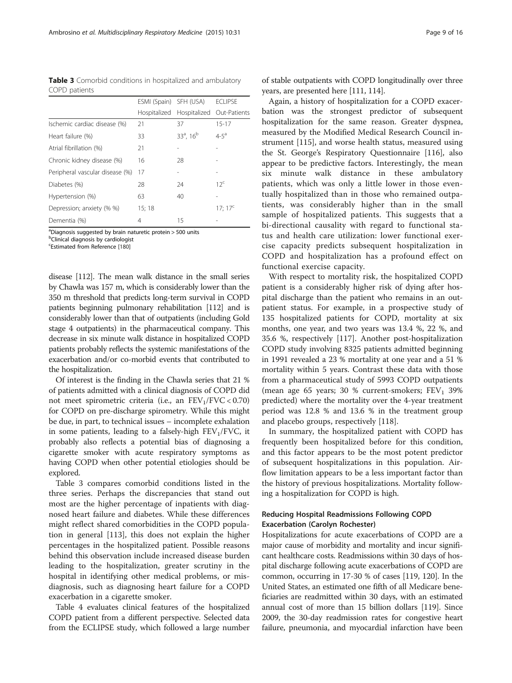<span id="page-8-0"></span>Table 3 Comorbid conditions in hospitalized and ambulatory COPD patients

|                                 | ESMI (Spain) SFH (USA) |                          | <b>ECLIPSE</b>  |
|---------------------------------|------------------------|--------------------------|-----------------|
|                                 | Hospitalized           | Hospitalized             | Out-Patients    |
| Ischemic cardiac disease (%)    | 21                     | 37                       | $15 - 17$       |
| Heart failure (%)               | 33                     | $33^a$ , 16 <sup>b</sup> | $4 - 5^a$       |
| Atrial fibrillation (%)         | 21                     |                          |                 |
| Chronic kidney disease (%)      | 16                     | 28                       |                 |
| Peripheral vascular disease (%) | 17                     |                          |                 |
| Diabetes (%)                    | 28                     | 24                       | 12 <sup>c</sup> |
| Hypertension (%)                | 63                     | 40                       |                 |
| Depression; anxiety (% %)       | 15;18                  |                          | $17; 17^c$      |
| Dementia (%)                    | 4                      | 15                       |                 |

<sup>a</sup>Diagnosis suggested by brain naturetic protein > 500 units

<sup>b</sup>Clinical diagnosis by cardiologist

Estimated from Reference [\[180](#page-15-0)]

disease [\[112](#page-14-0)]. The mean walk distance in the small series by Chawla was 157 m, which is considerably lower than the 350 m threshold that predicts long-term survival in COPD patients beginning pulmonary rehabilitation [\[112](#page-14-0)] and is considerably lower than that of outpatients (including Gold stage 4 outpatients) in the pharmaceutical company. This decrease in six minute walk distance in hospitalized COPD patients probably reflects the systemic manifestations of the exacerbation and/or co-morbid events that contributed to the hospitalization.

Of interest is the finding in the Chawla series that 21 % of patients admitted with a clinical diagnosis of COPD did not meet spirometric criteria (i.e., an  $FEV<sub>1</sub>/FVC < 0.70$ ) for COPD on pre-discharge spirometry. While this might be due, in part, to technical issues – incomplete exhalation in some patients, leading to a falsely-high  $FEV<sub>1</sub>/FVC$ , it probably also reflects a potential bias of diagnosing a cigarette smoker with acute respiratory symptoms as having COPD when other potential etiologies should be explored.

Table 3 compares comorbid conditions listed in the three series. Perhaps the discrepancies that stand out most are the higher percentage of inpatients with diagnosed heart failure and diabetes. While these differences might reflect shared comorbidities in the COPD population in general [[113](#page-14-0)], this does not explain the higher percentages in the hospitalized patient. Possible reasons behind this observation include increased disease burden leading to the hospitalization, greater scrutiny in the hospital in identifying other medical problems, or misdiagnosis, such as diagnosing heart failure for a COPD exacerbation in a cigarette smoker.

Table [4](#page-9-0) evaluates clinical features of the hospitalized COPD patient from a different perspective. Selected data from the ECLIPSE study, which followed a large number

of stable outpatients with COPD longitudinally over three years, are presented here [\[111, 114](#page-14-0)].

Again, a history of hospitalization for a COPD exacerbation was the strongest predictor of subsequent hospitalization for the same reason. Greater dyspnea, measured by the Modified Medical Research Council instrument [\[115\]](#page-14-0), and worse health status, measured using the St. George's Respiratory Questionnaire [\[116\]](#page-14-0), also appear to be predictive factors. Interestingly, the mean six minute walk distance in these ambulatory patients, which was only a little lower in those eventually hospitalized than in those who remained outpatients, was considerably higher than in the small sample of hospitalized patients. This suggests that a bi-directional causality with regard to functional status and health care utilization: lower functional exercise capacity predicts subsequent hospitalization in COPD and hospitalization has a profound effect on functional exercise capacity.

With respect to mortality risk, the hospitalized COPD patient is a considerably higher risk of dying after hospital discharge than the patient who remains in an outpatient status. For example, in a prospective study of 135 hospitalized patients for COPD, mortality at six months, one year, and two years was 13.4 %, 22 %, and 35.6 %, respectively [[117\]](#page-14-0). Another post-hospitalization COPD study involving 8325 patients admitted beginning in 1991 revealed a 23 % mortality at one year and a 51 % mortality within 5 years. Contrast these data with those from a pharmaceutical study of 5993 COPD outpatients (mean age 65 years; 30 % current-smokers;  $FEV<sub>1</sub>$  39% predicted) where the mortality over the 4-year treatment period was 12.8 % and 13.6 % in the treatment group and placebo groups, respectively [[118](#page-14-0)].

In summary, the hospitalized patient with COPD has frequently been hospitalized before for this condition, and this factor appears to be the most potent predictor of subsequent hospitalizations in this population. Airflow limitation appears to be a less important factor than the history of previous hospitalizations. Mortality following a hospitalization for COPD is high.

## Reducing Hospital Readmissions Following COPD Exacerbation (Carolyn Rochester)

Hospitalizations for acute exacerbations of COPD are a major cause of morbidity and mortality and incur significant healthcare costs. Readmissions within 30 days of hospital discharge following acute exacerbations of COPD are common, occurring in 17-30 % of cases [[119](#page-14-0), [120](#page-14-0)]. In the United States, an estimated one fifth of all Medicare beneficiaries are readmitted within 30 days, with an estimated annual cost of more than 15 billion dollars [\[119\]](#page-14-0). Since 2009, the 30-day readmission rates for congestive heart failure, pneumonia, and myocardial infarction have been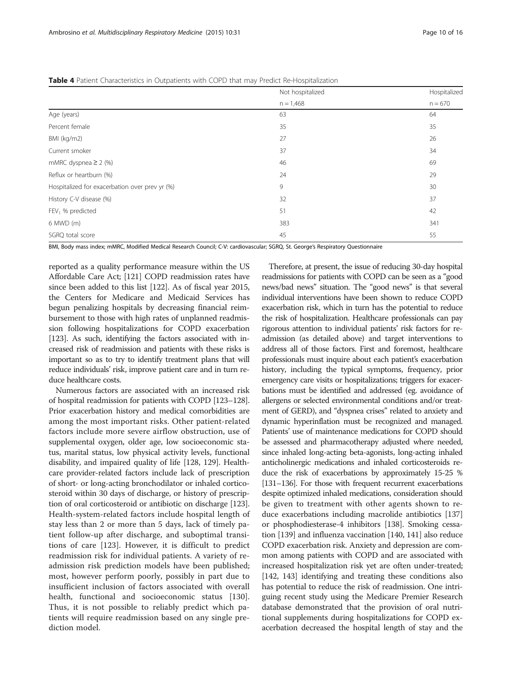<span id="page-9-0"></span>Table 4 Patient Characteristics in Outpatients with COPD that may Predict Re-Hospitalization

|                                                | Not hospitalized | Hospitalized |
|------------------------------------------------|------------------|--------------|
|                                                | $n = 1,468$      | $n = 670$    |
| Age (years)                                    | 63               | 64           |
| Percent female                                 | 35               | 35           |
| BMI (kg/m2)                                    | 27               | 26           |
| Current smoker                                 | 37               | 34           |
| mMRC dyspnea $\geq$ 2 (%)                      | 46               | 69           |
| Reflux or heartburn (%)                        | 24               | 29           |
| Hospitalized for exacerbation over prev yr (%) | 9                | 30           |
| History C-V disease (%)                        | 32               | 37           |
| FEV <sub>1</sub> % predicted                   | 51               | 42           |
| 6 MWD (m)                                      | 383              | 341          |
| SGRQ total score                               | 45               | 55           |

BMI, Body mass index; mMRC, Modified Medical Research Council; C-V: cardiovascular; SGRQ, St. George's Respiratory Questionnaire

reported as a quality performance measure within the US Affordable Care Act; [\[121\]](#page-14-0) COPD readmission rates have since been added to this list [[122](#page-14-0)]. As of fiscal year 2015, the Centers for Medicare and Medicaid Services has begun penalizing hospitals by decreasing financial reimbursement to those with high rates of unplanned readmission following hospitalizations for COPD exacerbation [[123](#page-14-0)]. As such, identifying the factors associated with increased risk of readmission and patients with these risks is important so as to try to identify treatment plans that will reduce individuals' risk, improve patient care and in turn reduce healthcare costs.

Numerous factors are associated with an increased risk of hospital readmission for patients with COPD [\[123](#page-14-0)–[128](#page-14-0)]. Prior exacerbation history and medical comorbidities are among the most important risks. Other patient-related factors include more severe airflow obstruction, use of supplemental oxygen, older age, low socioeconomic status, marital status, low physical activity levels, functional disability, and impaired quality of life [[128](#page-14-0), [129](#page-14-0)]. Healthcare provider-related factors include lack of prescription of short- or long-acting bronchodilator or inhaled corticosteroid within 30 days of discharge, or history of prescription of oral corticosteroid or antibiotic on discharge [[123](#page-14-0)]. Health-system-related factors include hospital length of stay less than 2 or more than 5 days, lack of timely patient follow-up after discharge, and suboptimal transitions of care [\[123](#page-14-0)]. However, it is difficult to predict readmission risk for individual patients. A variety of readmission risk prediction models have been published; most, however perform poorly, possibly in part due to insufficient inclusion of factors associated with overall health, functional and socioeconomic status [[130](#page-14-0)]. Thus, it is not possible to reliably predict which patients will require readmission based on any single prediction model.

Therefore, at present, the issue of reducing 30-day hospital readmissions for patients with COPD can be seen as a "good news/bad news" situation. The "good news" is that several individual interventions have been shown to reduce COPD exacerbation risk, which in turn has the potential to reduce the risk of hospitalization. Healthcare professionals can pay rigorous attention to individual patients' risk factors for readmission (as detailed above) and target interventions to address all of those factors. First and foremost, healthcare professionals must inquire about each patient's exacerbation history, including the typical symptoms, frequency, prior emergency care visits or hospitalizations; triggers for exacerbations must be identified and addressed (eg. avoidance of allergens or selected environmental conditions and/or treatment of GERD), and "dyspnea crises" related to anxiety and dynamic hyperinflation must be recognized and managed. Patients' use of maintenance medications for COPD should be assessed and pharmacotherapy adjusted where needed, since inhaled long-acting beta-agonists, long-acting inhaled anticholinergic medications and inhaled corticosteroids reduce the risk of exacerbations by approximately 15-25 % [[131](#page-14-0)–[136](#page-14-0)]. For those with frequent recurrent exacerbations despite optimized inhaled medications, consideration should be given to treatment with other agents shown to reduce exacerbations including macrolide antibiotics [\[137](#page-14-0)] or phosphodiesterase-4 inhibitors [\[138](#page-14-0)]. Smoking cessation [\[139\]](#page-14-0) and influenza vaccination [\[140, 141\]](#page-14-0) also reduce COPD exacerbation risk. Anxiety and depression are common among patients with COPD and are associated with increased hospitalization risk yet are often under-treated; [[142](#page-14-0), [143](#page-14-0)] identifying and treating these conditions also has potential to reduce the risk of readmission. One intriguing recent study using the Medicare Premier Research database demonstrated that the provision of oral nutritional supplements during hospitalizations for COPD exacerbation decreased the hospital length of stay and the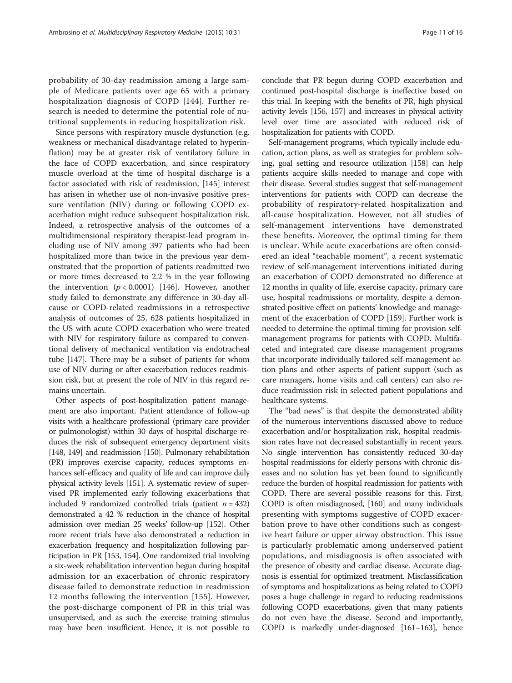probability of 30-day readmission among a large sample of Medicare patients over age 65 with a primary hospitalization diagnosis of COPD [\[144\]](#page-14-0). Further research is needed to determine the potential role of nutritional supplements in reducing hospitalization risk.

Since persons with respiratory muscle dysfunction (e.g. weakness or mechanical disadvantage related to hyperinflation) may be at greater risk of ventilatory failure in the face of COPD exacerbation, and since respiratory muscle overload at the time of hospital discharge is a factor associated with risk of readmission, [\[145](#page-14-0)] interest has arisen in whether use of non-invasive positive pressure ventilation (NIV) during or following COPD exacerbation might reduce subsequent hospitalization risk. Indeed, a retrospective analysis of the outcomes of a multidimensional respiratory therapist-lead program including use of NIV among 397 patients who had been hospitalized more than twice in the previous year demonstrated that the proportion of patients readmitted two or more times decreased to 2.2 % in the year following the intervention  $(p < 0.0001)$  [[146](#page-14-0)]. However, another study failed to demonstrate any difference in 30-day allcause or COPD-related readmissions in a retrospective analysis of outcomes of 25, 628 patients hospitalized in the US with acute COPD exacerbation who were treated with NIV for respiratory failure as compared to conventional delivery of mechanical ventilation via endotracheal tube [\[147\]](#page-14-0). There may be a subset of patients for whom use of NIV during or after exacerbation reduces readmission risk, but at present the role of NIV in this regard remains uncertain.

Other aspects of post-hospitalization patient management are also important. Patient attendance of follow-up visits with a healthcare professional (primary care provider or pulmonologist) within 30 days of hospital discharge reduces the risk of subsequent emergency department visits [[148, 149](#page-14-0)] and readmission [\[150](#page-14-0)]. Pulmonary rehabilitation (PR) improves exercise capacity, reduces symptoms enhances self-efficacy and quality of life and can improve daily physical activity levels [[151\]](#page-14-0). A systematic review of supervised PR implemented early following exacerbations that included 9 randomized controlled trials (patient  $n = 432$ ) demonstrated a 42 % reduction in the chance of hospital admission over median 25 weeks' follow-up [\[152\]](#page-15-0). Other more recent trials have also demonstrated a reduction in exacerbation frequency and hospitalization following participation in PR [[153, 154](#page-15-0)]. One randomized trial involving a six-week rehabilitation intervention begun during hospital admission for an exacerbation of chronic respiratory disease failed to demonstrate reduction in readmission 12 months following the intervention [\[155\]](#page-15-0). However, the post-discharge component of PR in this trial was unsupervised, and as such the exercise training stimulus may have been insufficient. Hence, it is not possible to

conclude that PR begun during COPD exacerbation and continued post-hospital discharge is ineffective based on this trial. In keeping with the benefits of PR, high physical activity levels [[156, 157\]](#page-15-0) and increases in physical activity level over time are associated with reduced risk of hospitalization for patients with COPD.

Self-management programs, which typically include education, action plans, as well as strategies for problem solving, goal setting and resource utilization [\[158](#page-15-0)] can help patients acquire skills needed to manage and cope with their disease. Several studies suggest that self-management interventions for patients with COPD can decrease the probability of respiratory-related hospitalization and all-cause hospitalization. However, not all studies of self-management interventions have demonstrated these benefits. Moreover, the optimal timing for them is unclear. While acute exacerbations are often considered an ideal "teachable moment", a recent systematic review of self-management interventions initiated during an exacerbation of COPD demonstrated no difference at 12 months in quality of life, exercise capacity, primary care use, hospital readmissions or mortality, despite a demonstrated positive effect on patients' knowledge and management of the exacerbation of COPD [\[159](#page-15-0)]. Further work is needed to determine the optimal timing for provision selfmanagement programs for patients with COPD. Multifaceted and integrated care disease management programs that incorporate individually tailored self-management action plans and other aspects of patient support (such as care managers, home visits and call centers) can also reduce readmission risk in selected patient populations and healthcare systems.

The "bad news" is that despite the demonstrated ability of the numerous interventions discussed above to reduce exacerbation and/or hospitalization risk, hospital readmission rates have not decreased substantially in recent years. No single intervention has consistently reduced 30-day hospital readmissions for elderly persons with chronic diseases and no solution has yet been found to significantly reduce the burden of hospital readmission for patients with COPD. There are several possible reasons for this. First, COPD is often misdiagnosed, [\[160](#page-15-0)] and many individuals presenting with symptoms suggestive of COPD exacerbation prove to have other conditions such as congestive heart failure or upper airway obstruction. This issue is particularly problematic among underserved patient populations, and misdiagnosis is often associated with the presence of obesity and cardiac disease. Accurate diagnosis is essential for optimized treatment. Misclassification of symptoms and hospitalizations as being related to COPD poses a huge challenge in regard to reducing readmissions following COPD exacerbations, given that many patients do not even have the disease. Second and importantly, COPD is markedly under-diagnosed [\[161](#page-15-0)–[163](#page-15-0)], hence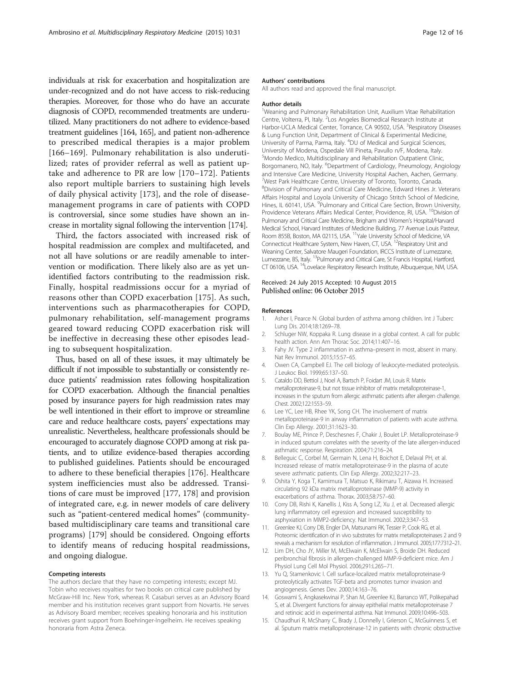<span id="page-11-0"></span>individuals at risk for exacerbation and hospitalization are under-recognized and do not have access to risk-reducing therapies. Moreover, for those who do have an accurate diagnosis of COPD, recommended treatments are underutilized. Many practitioners do not adhere to evidence-based treatment guidelines [\[164](#page-15-0), [165](#page-15-0)], and patient non-adherence to prescribed medical therapies is a major problem [[166](#page-15-0)–[169](#page-15-0)]. Pulmonary rehabilitation is also underutilized; rates of provider referral as well as patient uptake and adherence to PR are low [[170](#page-15-0)–[172\]](#page-15-0). Patients also report multiple barriers to sustaining high levels of daily physical activity [[173](#page-15-0)], and the role of diseasemanagement programs in care of patients with COPD is controversial, since some studies have shown an increase in mortality signal following the intervention [[174](#page-15-0)].

Third, the factors associated with increased risk of hospital readmission are complex and multifaceted, and not all have solutions or are readily amenable to intervention or modification. There likely also are as yet unidentified factors contributing to the readmission risk. Finally, hospital readmissions occur for a myriad of reasons other than COPD exacerbation [[175\]](#page-15-0). As such, interventions such as pharmacotherapies for COPD, pulmonary rehabilitation, self-management programs geared toward reducing COPD exacerbation risk will be ineffective in decreasing these other episodes leading to subsequent hospitalization.

Thus, based on all of these issues, it may ultimately be difficult if not impossible to substantially or consistently reduce patients' readmission rates following hospitalization for COPD exacerbation. Although the financial penalties posed by insurance payers for high readmission rates may be well intentioned in their effort to improve or streamline care and reduce healthcare costs, payers' expectations may unrealistic. Nevertheless, healthcare professionals should be encouraged to accurately diagnose COPD among at risk patients, and to utilize evidence-based therapies according to published guidelines. Patients should be encouraged to adhere to these beneficial therapies [[176\]](#page-15-0). Healthcare system inefficiencies must also be addressed. Transitions of care must be improved [[177, 178\]](#page-15-0) and provision of integrated care, e.g. in newer models of care delivery such as "patient-centered medical homes" (communitybased multidisciplinary care teams and transitional care programs) [\[179](#page-15-0)] should be considered. Ongoing efforts to identify means of reducing hospital readmissions, and ongoing dialogue.

#### Competing interests

The authors declare that they have no competing interests; except MJ. Tobin who receives royalties for two books on critical care published by McGraw-Hill Inc. New York, whereas R. Casaburi serves as an Advisory Board member and his institution receives grant support from Novartis. He serves as Advisory Board member; receives speaking honoraria and his institution receives grant support from Boehringer-Ingelheim. He receives speaking honoraria from Astra Zeneca.

#### Authors' contributions

All authors read and approved the final manuscript.

#### Author details

<sup>1</sup>Weaning and Pulmonary Rehabilitation Unit, Auxilium Vitae Rehabilitation Centre, Volterra, PI, Italy. <sup>2</sup>Los Angeles Biomedical Research Institute at Harbor-UCLA Medical Center, Torrance, CA 90502, USA. <sup>3</sup>Respiratory Diseases & Lung Function Unit, Department of Clinical & Experimental Medicine, University of Parma, Parma, Italy. <sup>4</sup>DU of Medical and Surgical Sciences University of Modena, Ospedale Vill Pineta, Pavullo n/F, Modena, Italy. 5 Mondo Medico, Multidisciplinary and Rehabilitation Outpatient Clinic, Borgomanero, NO, Italy. <sup>6</sup>Department of Cardiology, Pneumology, Angiology and Intensive Care Medicine, University Hospital Aachen, Aachen, Germany. <sup>7</sup>West Park Healthcare Centre, University of Toronto, Toronto, Canada 8 Division of Pulmonary and Critical Care Medicine, Edward Hines Jr. Veterans Affairs Hospital and Loyola University of Chicago Stritch School of Medicine, Hines, IL 60141, USA. <sup>9</sup>Pulmonary and Critical Care Section, Brown University, Providence Veterans Affairs Medical Center, Providence, RI, USA. <sup>10</sup>Division of Pulmonary and Critical Care Medicine, Brigham and Women's Hospital/Harvard Medical School, Harvard Institutes of Medicine Building, 77 Avenue Louis Pasteur, Room 855B, Boston, MA 02115, USA. <sup>11</sup>Yale University School of Medicine, VA Connecticut Healthcare System, New Haven, CT, USA. 12Respiratory Unit and Weaning Center, Salvatore Maugeri Foundation, IRCCS Institute of Lumezzane, Lumezzane, BS, Italy. 13Pulmonary and Critical Care, St Francis Hospital, Hartford, CT 06106, USA. 14Lovelace Respiratory Research Institute, Albuquerque, NM, USA.

#### Received: 24 July 2015 Accepted: 10 August 2015 Published online: 06 October 2015

#### References

- 1. Asher I, Pearce N. Global burden of asthma among children. Int J Tuberc Lung Dis. 2014;18:1269–78.
- 2. Schluger NW, Koppaka R. Lung disease in a global context. A call for public health action. Ann Am Thorac Soc. 2014;11:407–16.
- Fahy JV. Type 2 inflammation in asthma–present in most, absent in many. Nat Rev Immunol. 2015;15:57–65.
- 4. Owen CA, Campbell EJ. The cell biology of leukocyte-mediated proteolysis. J Leukoc Biol. 1999;65:137–50.
- 5. Cataldo DD, Bettiol J, Noel A, Bartsch P, Foidart JM, Louis R. Matrix metalloproteinase-9, but not tissue inhibitor of matrix metalloproteinase-1, increases in the sputum from allergic asthmatic patients after allergen challenge. Chest. 2002;122:1553–59.
- 6. Lee YC, Lee HB, Rhee YK, Song CH. The involvement of matrix metalloproteinase-9 in airway inflammation of patients with acute asthma. Clin Exp Allergy. 2001;31:1623–30.
- 7. Boulay ME, Prince P, Deschesnes F, Chakir J, Boulet LP. Metalloproteinase-9 in induced sputum correlates with the severity of the late allergen-induced asthmatic response. Respiration. 2004;71:216–24.
- 8. Belleguic C, Corbel M, Germain N, Lena H, Boichot E, Delaval PH, et al. Increased release of matrix metalloproteinase-9 in the plasma of acute severe asthmatic patients. Clin Exp Allergy. 2002;32:217–23.
- 9. Oshita Y, Koga T, Kamimura T, Matsuo K, Rikimaru T, Aizawa H. Increased circulating 92 kDa matrix metalloproteinase (MMP-9) activity in exacerbations of asthma. Thorax. 2003;58:757–60.
- 10. Corry DB, Rishi K, Kanellis J, Kiss A, Song LZ, Xu J, et al. Decreased allergic lung inflammatory cell egression and increased susceptibility to asphyxiation in MMP2-deficiency. Nat Immunol. 2002;3:347–53.
- 11. Greenlee KJ, Corry DB, Engler DA, Matsunami RK, Tessier P, Cook RG, et al. Proteomic identification of in vivo substrates for matrix metalloproteinases 2 and 9 reveals a mechanism for resolution of inflammation. J Immunol. 2005;177:7312–21.
- 12. Lim DH, Cho JY, Miller M, McElwain K, McElwain S, Broide DH. Reduced peribronchial fibrosis in allergen-challenged MMP-9-deficient mice. Am J Physiol Lung Cell Mol Physiol. 2006;291:L265–71.
- 13. Yu Q, Stamenkovic I. Cell surface-localized matrix metalloproteinase-9 proteolytically activates TGF-beta and promotes tumor invasion and angiogenesis. Genes Dev. 2000;14:163–76.
- 14. Goswami S, Angkasekwinai P, Shan M, Greenlee KJ, Barranco WT, Polikepahad S, et al. Divergent functions for airway epithelial matrix metalloproteinase 7 and retinoic acid in experimental asthma. Nat Immunol. 2009;10:496–503.
- 15. Chaudhuri R, McSharry C, Brady J, Donnelly I, Grierson C, McGuinness S, et al. Sputum matrix metalloproteinase-12 in patients with chronic obstructive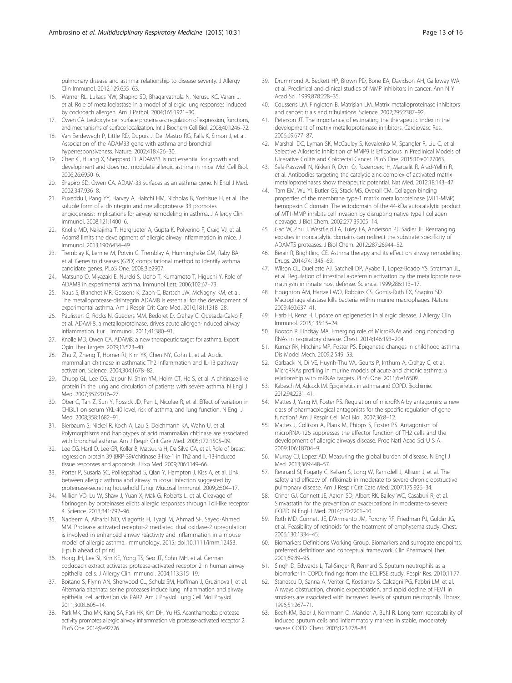<span id="page-12-0"></span>pulmonary disease and asthma: relationship to disease severity. J Allergy Clin Immunol. 2012;129:655–63.

- 16. Warner RL, Lukacs NW, Shapiro SD, Bhagarvathula N, Nerusu KC, Varani J, et al. Role of metalloelastase in a model of allergic lung responses induced by cockroach allergen. Am J Pathol. 2004;165:1921–30.
- 17. Owen CA. Leukocyte cell surface proteinases: regulation of expression, functions, and mechanisms of surface localization. Int J Biochem Cell Biol. 2008;40:1246–72.
- 18. Van Eerdewegh P, Little RD, Dupuis J, Del Mastro RG, Falls K, Simon J, et al. Association of the ADAM33 gene with asthma and bronchial hyperresponsiveness. Nature. 2002;418:426–30.
- 19. Chen C, Huang X, Sheppard D. ADAM33 is not essential for growth and development and does not modulate allergic asthma in mice. Mol Cell Biol. 2006;26:6950–6.
- 20. Shapiro SD, Owen CA. ADAM-33 surfaces as an asthma gene. N Engl J Med. 2002;347:936–8.
- 21. Puxeddu I, Pang YY, Harvey A, Haitchi HM, Nicholas B, Yoshisue H, et al. The soluble form of a disintegrin and metalloprotease 33 promotes angiogenesis: implications for airway remodeling in asthma. J Allergy Clin Immunol. 2008;121:1400–6.
- 22. Knolle MD, Nakajima T, Hergrueter A, Gupta K, Polverino F, Craig VJ, et al. Adam8 limits the development of allergic airway inflammation in mice. J Immunol. 2013;190:6434–49.
- 23. Tremblay K, Lemire M, Potvin C, Tremblay A, Hunninghake GM, Raby BA, et al. Genes to diseases (G2D) computational method to identify asthma candidate genes. PLoS One. 2008;3:e2907.
- 24. Matsuno O, Miyazaki E, Nureki S, Ueno T, Kumamoto T, Higuchi Y. Role of ADAM8 in experimental asthma. Immunol Lett. 2006;102:67–73.
- 25. Naus S, Blanchet MR, Gossens K, Zaph C, Bartsch JW, McNagny KM, et al. The metalloprotease-disintegrin ADAM8 is essential for the development of experimental asthma. Am J Respir Crit Care Med. 2010;181:1318–28.
- 26. Paulissen G, Rocks N, Gueders MM, Bedoret D, Crahay C, Quesada-Calvo F, et al. ADAM-8, a metalloproteinase, drives acute allergen-induced airway inflammation. Eur J Immunol. 2011;41:380–91.
- 27. Knolle MD, Owen CA. ADAM8: a new therapeutic target for asthma. Expert Opin Ther Targets. 2009;13:523–40.
- 28. Zhu Z, Zheng T, Homer RJ, Kim YK, Chen NY, Cohn L, et al. Acidic mammalian chitinase in asthmatic Th2 inflammation and IL-13 pathway activation. Science. 2004;304:1678–82.
- 29. Chupp GL, Lee CG, Jarjour N, Shim YM, Holm CT, He S, et al. A chitinase-like protein in the lung and circulation of patients with severe asthma. N Engl J Med. 2007;357:2016–27.
- 30. Ober C, Tan Z, Sun Y, Possick JD, Pan L, Nicolae R, et al. Effect of variation in CHI3L1 on serum YKL-40 level, risk of asthma, and lung function. N Engl J Med. 2008;358:1682–91.
- 31. Bierbaum S, Nickel R, Koch A, Lau S, Deichmann KA, Wahn U, et al. Polymorphisms and haplotypes of acid mammalian chitinase are associated with bronchial asthma. Am J Respir Crit Care Med. 2005;172:1505–09.
- 32. Lee CG, Hartl D, Lee GR, Koller B, Matsuura H, Da Silva CA, et al. Role of breast regression protein 39 (BRP-39)/chitinase 3-like-1 in Th2 and IL-13-induced tissue responses and apoptosis. J Exp Med. 2009;206:1149–66.
- 33. Porter P, Susarla SC, Polikepahad S, Qian Y, Hampton J, Kiss A, et al. Link between allergic asthma and airway mucosal infection suggested by proteinase-secreting household fungi. Mucosal Immunol. 2009;2:504–17.
- 34. Millien VO, Lu W, Shaw J, Yuan X, Mak G, Roberts L, et al. Cleavage of fibrinogen by proteinases elicits allergic responses through Toll-like receptor 4. Science. 2013;341:792–96.
- 35. Nadeem A, Alharbi NO, Vliagoftis H, Tyagi M, Ahmad SF, Sayed-Ahmed MM. Protease activated receptor-2 mediated dual oxidase-2 upregulation is involved in enhanced airway reactivity and inflammation in a mouse model of allergic asthma. Immunology. 2015; doi[:10.1111/imm.12453](http://dx.doi.org/10.1111/imm.12453). [Epub ahead of print].
- 36. Hong JH, Lee SI, Kim KE, Yong TS, Seo JT, Sohn MH, et al. German cockroach extract activates protease-activated receptor 2 in human airway epithelial cells. J Allergy Clin Immunol. 2004;113:315–19.
- 37. Boitano S, Flynn AN, Sherwood CL, Schulz SM, Hoffman J, Gruzinova I, et al. Alternaria alternata serine proteases induce lung inflammation and airway epithelial cell activation via PAR2. Am J Physiol Lung Cell Mol Physiol. 2011;300:L605–14.
- 38. Park MK, Cho MK, Kang SA, Park HK, Kim DH, Yu HS. Acanthamoeba protease activity promotes allergic airway inflammation via protease-activated receptor 2. PLoS One. 2014;9:e92726.
- 39. Drummond A, Beckett HP, Brown PD, Bone EA, Davidson AH, Galloway WA, et al. Preclinical and clinical studies of MMP inhibitors in cancer. Ann N Y Acad Sci. 1999;878:228–35.
- 40. Coussens LM, Fingleton B, Matrisian LM. Matrix metalloproteinase inhibitors and cancer: trials and tribulations. Science. 2002;295:2387–92.
- 41. Peterson JT. The importance of estimating the therapeutic index in the development of matrix metalloproteinase inhibitors. Cardiovasc Res. 2006;69:677–87.
- 42. Marshall DC, Lyman SK, McCauley S, Kovalenko M, Spangler R, Liu C, et al. Selective Allosteric Inhibition of MMP9 Is Efficacious in Preclinical Models of Ulcerative Colitis and Colorectal Cancer. PLoS One. 2015;10:e0127063.
- 43. Sela-Passwell N, Kikkeri R, Dym O, Rozenberg H, Margalit R, Arad-Yellin R, et al. Antibodies targeting the catalytic zinc complex of activated matrix metalloproteinases show therapeutic potential. Nat Med. 2012;18:143–47.
- 44. Tam EM, Wu YI, Butler GS, Stack MS, Overall CM. Collagen binding properties of the membrane type-1 matrix metalloproteinase (MT1-MMP) hemopexin C domain. The ectodomain of the 44-kDa autocatalytic product of MT1-MMP inhibits cell invasion by disrupting native type I collagen cleavage. J Biol Chem. 2002;277:39005–14.
- 45. Gao W, Zhu J, Westfield LA, Tuley EA, Anderson PJ, Sadler JE. Rearranging exosites in noncatalytic domains can redirect the substrate specificity of ADAMTS proteases. J Biol Chem. 2012;287:26944–52.
- 46. Berair R, Brightling CE. Asthma therapy and its effect on airway remodelling. Drugs. 2014;74:1345–69.
- 47. Wilson CL, Ouellette AJ, Satchell DP, Ayabe T, Lopez-Boado YS, Stratman JL, et al. Regulation of intestinal a-defensin activation by the metalloproteinase matrilysin in innate host defense. Science. 1999;286:113–17.
- 48. Houghton AM, Hartzell WO, Robbins CS, Gomis-Ruth FX, Shapiro SD. Macrophage elastase kills bacteria within murine macrophages. Nature. 2009;460:637–41.
- 49. Harb H, Renz H. Update on epigenetics in allergic disease. J Allergy Clin Immunol. 2015;135:15–24.
- 50. Booton R, Lindsay MA. Emerging role of MicroRNAs and long noncoding RNAs in respiratory disease. Chest. 2014;146:193–204.
- 51. Kumar RK, Hitchins MP, Foster PS. Epigenetic changes in childhood asthma. Dis Model Mech. 2009;2:549–53.
- 52. Garbacki N, Di VE, Huynh-Thu VA, Geurts P, Irrthum A, Crahay C, et al. MicroRNAs profiling in murine models of acute and chronic asthma: a relationship with mRNAs targets. PLoS One. 2011;6:e16509.
- 53. Kabesch M, Adcock IM. Epigenetics in asthma and COPD. Biochimie. 2012;94:2231–41.
- 54. Mattes J, Yang M, Foster PS. Regulation of microRNA by antagomirs: a new class of pharmacological antagonists for the specific regulation of gene function? Am J Respir Cell Mol Biol. 2007;36:8–12.
- 55. Mattes J, Collison A, Plank M, Phipps S, Foster PS. Antagonism of microRNA-126 suppresses the effector function of TH2 cells and the development of allergic airways disease. Proc Natl Acad Sci U S A. 2009;106:18704–9.
- 56. Murray CJ, Lopez AD. Measuring the global burden of disease. N Engl J Med. 2013;369:448–57.
- 57. Rennard SI, Fogarty C, Kelsen S, Long W, Ramsdell J, Allison J, et al. The safety and efficacy of infliximab in moderate to severe chronic obstructive pulmonary disease. Am J Respir Crit Care Med. 2007;175:926–34.
- 58. Criner GJ, Connett JE, Aaron SD, Albert RK, Bailey WC, Casaburi R, et al. Simvastatin for the prevention of exacerbations in moderate-to-severe COPD. N Engl J Med. 2014;370:2201–10.
- 59. Roth MD, Connett JE, D'Armiento JM, Foronjy RF, Friedman PJ, Goldin JG, et al. Feasibility of retinoids for the treatment of emphysema study. Chest. 2006;130:1334–45.
- 60. Biomarkers Definitions Working Group. Biomarkers and surrogate endpoints: preferred definitions and conceptual framework. Clin Pharmacol Ther. 2001;69:89–95.
- 61. Singh D, Edwards L, Tal-Singer R, Rennard S. Sputum neutrophils as a biomarker in COPD: findings from the ECLIPSE study. Respir Res. 2010;11:77.
- 62. Stanescu D, Sanna A, Veriter C, Kostianev S, Calcagni PG, Fabbri LM, et al. Airways obstruction, chronic expectoration, and rapid decline of FEV1 in smokers are associated with increased levels of sputum neutrophils. Thorax. 1996;51:267–71.
- 63. Beeh KM, Beier J, Kornmann O, Mander A, Buhl R. Long-term repeatability of induced sputum cells and inflammatory markers in stable, moderately severe COPD. Chest. 2003;123:778–83.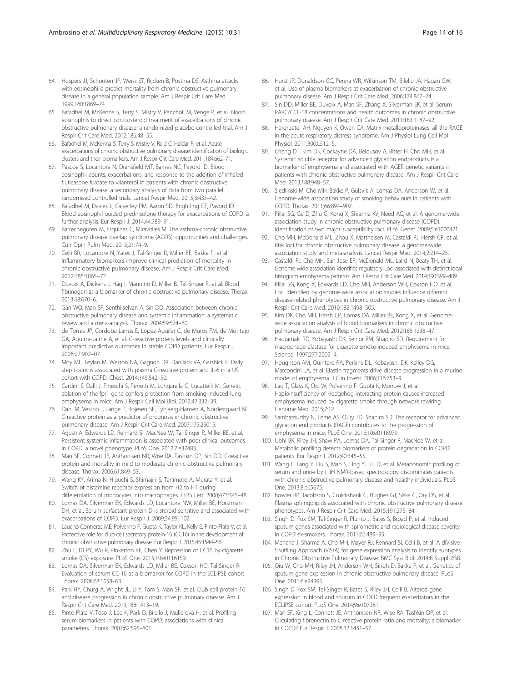- <span id="page-13-0"></span>64. Hospers JJ, Schouten JP, Weiss ST, Rijcken B, Postma DS. Asthma attacks with eosinophilia predict mortality from chronic obstructive pulmonary disease in a general population sample. Am J Respir Crit Care Med. 1999;160:1869–74.
- 65. Bafadhel M, McKenna S, Terry S, Mistry V, Pancholi M, Venge P, et al. Blood eosinophils to direct corticosteroid treatment of exacerbations of chronic obstructive pulmonary disease: a randomized placebo-controlled trial. Am J Respir Crit Care Med. 2012;186:48–55.
- 66. Bafadhel M, McKenna S, Terry S, Mistry V, Reid C, Haldar P, et al. Acute exacerbations of chronic obstructive pulmonary disease: identification of biologic clusters and their biomarkers. Am J Respir Crit Care Med. 2011;184:662–71.
- 67. Pascoe S, Locantore N, Dransfield MT, Barnes NC, Pavord ID. Blood eosinophil counts, exacerbations, and response to the addition of inhaled fluticasone furoate to vilanterol in patients with chronic obstructive pulmonary disease: a secondary analysis of data from two parallel randomised controlled trials. Lancet Respir Med. 2015;3:435–42.
- 68. Bafadhel M, Davies L, Calverley PM, Aaron SD, Brightling CE, Pavord ID. Blood eosinophil guided prednisolone therapy for exacerbations of COPD: a further analysis. Eur Respir J. 2014;44:789–91.
- 69. Barrecheguren M, Esquinas C, Miravitlles M. The asthma-chronic obstructive pulmonary disease overlap syndrome (ACOS): opportunities and challenges. Curr Opin Pulm Med. 2015;21:74–9.
- 70. Celli BR, Locantore N, Yates J, Tal-Singer R, Miller BE, Bakke P, et al. Inflammatory biomarkers improve clinical prediction of mortality in chronic obstructive pulmonary disease. Am J Respir Crit Care Med. 2012;185:1065–72.
- 71. Duvoix A, Dickens J, Haq I, Mannino D, Miller B, Tal-Singer R, et al. Blood fibrinogen as a biomarker of chronic obstructive pulmonary disease. Thorax. 2013;68:670–6.
- 72. Gan WQ, Man SF, Senthilselvan A, Sin DD. Association between chronic obstructive pulmonary disease and systemic inflammation: a systematic review and a meta-analysis. Thorax. 2004;59:574–80.
- 73. de Torres JP, Cordoba-Lanus E, Lopez-Aguilar C, de Muros FM, de Montejo GA, Aguirre-Jaime A, et al. C-reactive protein levels and clinically important predictive outcomes in stable COPD patients. Eur Respir J. 2006;27:902–07.
- 74. Moy ML, Teylan M, Weston NA, Gagnon DR, Danilack VA, Garshick E. Daily step count is associated with plasma C-reactive protein and IL-6 in a US cohort with COPD. Chest. 2014;145:542–50.
- 75. Cardini S, Dalli J, Fineschi S, Perretti M, Lungarella G, Lucattelli M. Genetic ablation of the fpr1 gene confers protection from smoking-induced lung emphysema in mice. Am J Respir Cell Mol Biol. 2012;47:332–39.
- 76. Dahl M, Vestbo J, Lange P, Bojesen SE, Tybjaerg-Hansen A, Nordestgaard BG. C-reactive protein as a predictor of prognosis in chronic obstructive pulmonary disease. Am J Respir Crit Care Med. 2007;175:250–5.
- 77. Agusti A, Edwards LD, Rennard SI, MacNee W, Tal-Singer R, Miller BE, et al. Persistent systemic inflammation is associated with poor clinical outcomes in COPD: a novel phenotype. PLoS One. 2012;7:e37483.
- 78. Man SF, Connett JE, Anthonisen NR, Wise RA, Tashkin DP, Sin DD. C-reactive protein and mortality in mild to moderate chronic obstructive pulmonary disease. Thorax. 2006;61:849–53.
- 79. Wang KY, Arima N, Higuchi S, Shimajiri S, Tanimoto A, Murata Y, et al. Switch of histamine receptor expression from H2 to H1 during differentiation of monocytes into macrophages. FEBS Lett. 2000;473:345–48.
- 80. Lomas DA, Silverman EK, Edwards LD, Locantore NW, Miller BE, Horstman DH, et al. Serum surfactant protein D is steroid sensitive and associated with exacerbations of COPD. Eur Respir J. 2009;34:95–102.
- 81. Laucho-Contreras ME, Polverino F, Gupta K, Taylor KL, Kelly E, Pinto-Plata V, et al. Protective role for club cell secretory protein-16 (CC16) in the development of chronic obstructive pulmonary disease. Eur Respir J. 2015;45:1544–56.
- 82. Zhu L, Di PY, Wu R, Pinkerton KE, Chen Y. Repression of CC16 by cigarette smoke (CS) exposure. PLoS One. 2015;10:e0116159.
- 83. Lomas DA, Silverman EK, Edwards LD, Miller BE, Coxson HO, Tal-Singer R. Evaluation of serum CC-16 as a biomarker for COPD in the ECLIPSE cohort. Thorax. 2008;63:1058–63.
- 84. Park HY, Churg A, Wright JL, Li Y, Tam S, Man SF, et al. Club cell protein 16 and disease progression in chronic obstructive pulmonary disease. Am J Respir Crit Care Med. 2013;188:1413–19.
- 85. Pinto-Plata V, Toso J, Lee K, Park D, Bilello J, Mullerova H, et al. Profiling serum biomarkers in patients with COPD: associations with clinical parameters. Thorax. 2007;62:595–601.
- 86. Hurst JR, Donaldson GC, Perera WR, Wilkinson TM, Bilello JA, Hagan GW, et al. Use of plasma biomarkers at exacerbation of chronic obstructive pulmonary disease. Am J Respir Crit Care Med. 2006;174:867–74.
- 87. Sin DD, Miller BE, Duvoix A, Man SF, Zhang X, Silverman EK, et al. Serum PARC/CCL-18 concentrations and health outcomes in chronic obstructive pulmonary disease. Am J Respir Crit Care Med. 2011;183:1187–92.
- 88. Hergrueter AH, Nguyen K, Owen CA. Matrix metalloproteinases: all the RAGE in the acute respiratory distress syndrome. Am J Physiol Lung Cell Mol Physiol. 2011;300:L512–5.
- 89. Cheng DT, Kim DK, Cockayne DA, Belousov A, Bitter H, Cho MH, et al. Systemic soluble receptor for advanced glycation endproducts is a biomarker of emphysema and associated with AGER genetic variants in patients with chronic obstructive pulmonary disease. Am J Respir Crit Care Med. 2013;188:948–57.
- 90. Siedlinski M, Cho MH, Bakke P, Gulsvik A, Lomas DA, Anderson W, et al. Genome-wide association study of smoking behaviours in patients with COPD. Thorax. 2011;66:894–902.
- 91. Pillai SG, Ge D, Zhu G, Kong X, Shianna KV, Need AC, et al. A genome-wide association study in chronic obstructive pulmonary disease (COPD): identification of two major susceptibility loci. PLoS Genet. 2009;5:e1000421.
- 92. Cho MH, McDonald ML, Zhou X, Mattheisen M, Castaldi PJ, Hersh CP, et al. Risk loci for chronic obstructive pulmonary disease: a genome-wide association study and meta-analysis. Lancet Respir Med. 2014;2:214–25.
- 93. Castaldi PJ, Cho MH, San Jose ER, McDonald ML, Laird N, Beaty TH, et al. Genome-wide association identifies regulatory Loci associated with distinct local histogram emphysema patterns. Am J Respir Crit Care Med. 2014;190:399–409.
- 94. Pillai SG, Kong X, Edwards LD, Cho MH, Anderson WH, Coxson HO, et al. Loci identified by genome-wide association studies influence different disease-related phenotypes in chronic obstructive pulmonary disease. Am J Respir Crit Care Med. 2010;182:1498–505.
- 95. Kim DK, Cho MH, Hersh CP, Lomas DA, Miller BE, Kong X, et al. Genomewide association analysis of blood biomarkers in chronic obstructive pulmonary disease. Am J Respir Crit Care Med. 2012;186:1238–47.
- 96. Hautamaki RD, Kobayashi DK, Senior RM, Shapiro SD. Requirement for macrophage elastase for cigarette smoke-induced emphysema in mice. Science. 1997;277:2002–4.
- 97. Houghton AM, Quintero PA, Perkins DL, Kobayashi DK, Kelley DG, Marconcini LA, et al. Elastin fragments drive disease progression in a murine model of emphysema. J Clin Invest. 2006;116:753–9.
- 98. Lao T, Glass K, Qiu W, Polverino F, Gupta K, Morrow J, et al. Haploinsufficiency of Hedgehog interacting protein causes increased emphysema induced by cigarette smoke through network rewiring. Genome Med. 2015;7:12.
- 99. Sambamurthy N, Leme AS, Oury TD, Shapiro SD. The receptor for advanced glycation end products (RAGE) contributes to the progression of emphysema in mice. PLoS One. 2015;10:e0118979.
- 100. Ubhi BK, Riley JH, Shaw PA, Lomas DA, Tal-Singer R, MacNee W, et al. Metabolic profiling detects biomarkers of protein degradation in COPD patients. Eur Respir J. 2012;40:345–55.
- 101. Wang L, Tang Y, Liu S, Mao S, Ling Y, Liu D, et al. Metabonomic profiling of serum and urine by (1)H NMR-based spectroscopy discriminates patients with chronic obstructive pulmonary disease and healthy individuals. PLoS One. 2013;8:e65675.
- 102. Bowler RP, Jacobson S, Cruickshank C, Hughes GJ, Siska C, Ory DS, et al. Plasma sphingolipids associated with chronic obstructive pulmonary disease phenotypes. Am J Respir Crit Care Med. 2015;191:275–84.
- 103. Singh D, Fox SM, Tal-Singer R, Plumb J, Bates S, Broad P, et al. Induced sputum genes associated with spirometric and radiological disease severity in COPD ex-smokers. Thorax. 2011;66:489–95.
- 104. Menche J, Sharma A, Cho MH, Mayer RJ, Rennard SI, Celli B, et al. A diVIsive Shuffling Approach (VIStA) for gene expression analysis to identify subtypes in Chronic Obstructive Pulmonary Disease. BMC Syst Biol. 2014;8 Suppl 2:S8.
- 105. Qiu W, Cho MH, Riley JH, Anderson WH, Singh D, Bakke P, et al. Genetics of sputum gene expression in chronic obstructive pulmonary disease. PLoS One. 2011;6:e24395.
- 106. Singh D, Fox SM, Tal-Singer R, Bates S, Riley JH, Celli B. Altered gene expression in blood and sputum in COPD frequent exacerbators in the ECLIPSE cohort. PLoS One. 2014;9:e107381.
- 107. Man SF, Xing L, Connett JE, Anthonisen NR, Wise RA, Tashkin DP, et al. Circulating fibronectin to C-reactive protein ratio and mortality: a biomarker in COPD? Eur Respir J. 2008;32:1451–57.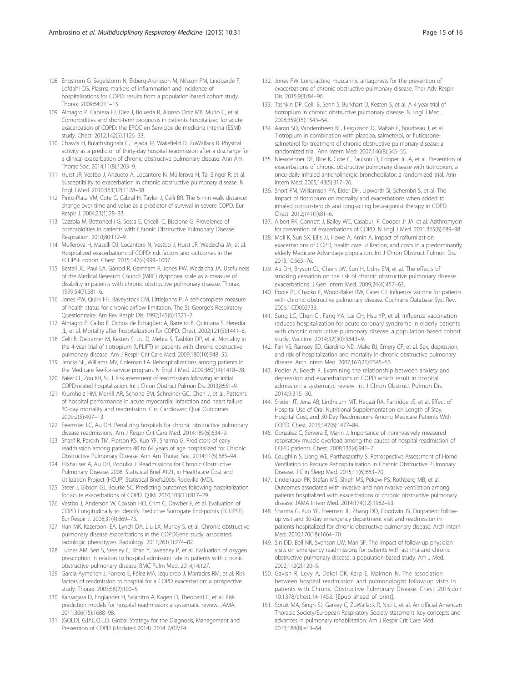- <span id="page-14-0"></span>108. Engstrom G, Segelstorm N, Ekberg-Aronsson M, Nilsson PM, Lindgarde F, Lofdahl CG. Plasma markers of inflammation and incidence of hospitalisations for COPD: results from a population-based cohort study. Thorax. 2009;64:211–15.
- 109. Almagro P, Cabrera FJ, Diez J, Boixeda R, Alonso Ortiz MB, Murio C, et al. Comorbidities and short-term prognosis in patients hospitalized for acute exacerbation of COPD: the EPOC en Servicios de medicina interna (ESMI) study. Chest. 2012;142(5):1126–33.
- 110. Chawla H, Bulathsinghala C, Tejada JP, Wakefield D, ZuWallack R. Physical activity as a predictor of thirty-day hospital readmission after a discharge for a clinical exacerbation of chronic obstructive pulmonary disease. Ann Am Thorac Soc. 2014;11(8):1203–9.
- 111. Hurst JR, Vestbo J, Anzueto A, Locantore N, Müllerova H, Tal-Singer R, et al. Susceptibility to exacerbation in chronic obstructive pulmonary disease. N Engl J Med. 2010;363(12):1128–38.
- 112. Pinto-Plata VM, Cote C, Cabral H, Taylor J, Celli BR. The 6-min walk distance: change over time and value as a predictor of survival in severe COPD. Eur Respir J. 2004;23(1):28–33.
- 113. Cazzola M, Bettoncelli G, Sessa E, Cricelli C, Biscione G. Prevalence of comorbidities in patients with Chronic Obstructive Pulmonary Disease. Respiration. 2010;80:112–9.
- 114. Mullerova H, Maselli DJ, Locantore N, Vestbo J, Hurst JR, Wedzicha JA, et al. Hospitalized exacerbations of COPD: risk factors and outcomes in the ECLIPSE cohort. Chest. 2015;147(4):999–1007.
- 115. Bestall JC, Paul EA, Garrod R, Garnham R, Jones PW, Wedzicha JA. Usefulness of the Medical Research Council (MRC) dyspnoea scale as a measure of disability in patients with chronic obstructive pulmonary disease. Thorax. 1999;54(7):581–6.
- 116. Jones PW, Quirk FH, Baveystock CM, Littlejohns P. A self-complete measure of health status for chronic airflow limitation. The St. George's Respiratory Questionnaire. Am Rev Respir Dis. 1992;145(6):1321–7.
- 117. Almagro P, Calbo E. Ochoa de Echagüen A, Barreiro B, Quintana S, Heredia JL, et al. Mortality after hospitalization for COPD. Chest. 2002;121(5):1441–8.
- 118. Celli B, Decramer M, Kesten S, Liu D, Mehra S, Tashkin DP, et al. Mortality in the 4-year trial of tiotropium (UPLIFT) in patients with chronic obstructive pulmonary disease. Am J Respir Crit Care Med. 2009;180(10):948–55.
- 119. Jencks SF, Williams MV, Coleman EA. Rehospitalizations among patients in the Medicare fee-for-service program. N Engl J Med. 2009;360(14):1418–28.
- 120. Baker CL, Zou KH, Su J. Risk assessment of readmissions following an initial COPD-related hospitalization. Int J Chron Obstruct Pulmon Dis. 2013;8:551–9.
- 121. Krumholz HM, Merrill AR, Schone EM, Schreiner GC, Chen J, et al. Patterns of hospital performance in acute myocardial infarction and heart failure 30-day mortality and readmission. Circ Cardiovasc Qual Outcomes. 2009;2(5):407–13.
- 122. Feemster LC, Au DH. Penalizing hospitals for chronic obstructive pulmonary disease readmissions. Am J Respir Crit Care Med. 2014;189(6):634–9.
- 123. Sharif R, Parekh TM, Pierson KS, Kuo YF, Sharma G. Predictors of early readmission among patients 40 to 64 years of age hospitalized for Chronic Obstructive Pulmonary Disease. Ann Am Thorac Soc. 2014;11(5):685–94.
- 124. Elixhauser A, Au DH, Podulka J. Readmissions for Chronic Obstructive Pulmonary Disease. 2008: Statistical Brief #121, in Healthcare Cost and Utilization Project (HCUP) Statistical Briefs2006: Rockville (MD).
- 125. Steer J, Gibson GJ, Bourke SC. Predicting outcomes following hospitalization for acute exacerbations of COPD. QJM. 2010;103(11):817–29.
- 126. Vestbo J, Anderson W, Coxson HO, Crim C, Dawber F, et al. Evaluation of COPD Longitudinally to Identify Predictive Surrogate End-points (ECLIPSE). Eur Respir J. 2008;31(4):869–73.
- 127. Han MK, Kazerooni EA, Lynch DA, Liu LX, Murray S, et al. Chronic obstructive pulmonary disease exacerbations in the COPDGene study: associated radiologic phenotypes. Radiology. 2011;261(1):274–82.
- 128. Turner AM, Sen S, Steeley C, Khan Y, Sweeney P, et al. Evaluation of oxygen prescription in relation to hospital admission rate in patients with chronic obstructive pulmonary disease. BMC Pulm Med. 2014;14:127.
- 129. Garcia-Aymerich J, Farrero E, Félez MA, Izquierdo J, Marrades RM, et al. Risk factors of readmission to hospital for a COPD exacerbation: a prospective study. Thorax. 2003;58(2):100–5.
- 130. Kansagara D, Englander H, Salanitro A, Kagen D, Theobald C, et al. Risk prediction models for hospital readmission: a systematic review. JAMA. 2011;306(15):1688–98.
- 131. (GOLD), G.I.f.C.O.L.D. Global Strategy for the Diagnosis, Management and Prevention of COPD (Updated 2014). 2014 7/02/14.
- 132. Jones PW. Long-acting muscarinic antagonists for the prevention of exacerbations of chronic obstructive pulmonary disease. Ther Adv Respir Dis. 2015;9(3):84–96.
- 133. Tashkin DP, Celli B, Senn S, Burkhart D, Kesten S, et al. A 4-year trial of tiotropium in chronic obstructive pulmonary disease. N Engl J Med. 2008;359(15):1543–54.
- 134. Aaron SD, Vandemheen KL, Fergusson D, Maltais F, Bourbeau J, et al. Tiotropium in combination with placebo, salmeterol, or fluticasonesalmeterol for treatment of chronic obstructive pulmonary disease: a randomized trial. Ann Intern Med. 2007;146(8):545–55.
- 135. Niewoehner DE, Rice K, Cote C, Paulson D, Cooper Jr JA, et al. Prevention of exacerbations of chronic obstructive pulmonary disease with tiotropium, a once-daily inhaled anticholinergic bronchodilator: a randomized trial. Ann Intern Med. 2005;143(5):317–26.
- 136. Short PM, Williamson PA, Elder DH, Lipworth SI, Schembri S, et al. The impact of tiotropium on mortality and exacerbations when added to inhaled corticosteroids and long-acting beta-agonist therapy in COPD. Chest. 2012;141(1):81–6.
- 137. Albert RK, Connett J, Bailey WC, Casaburi R, Cooper Jr JA, et al. Azithromycin for prevention of exacerbations of COPD. N Engl J Med. 2011;365(8):689–98.
- 138. Moll K, Sun SX, Ellis JJ, Howe A, Amin A. Impact of roflumilast on exacerbations of COPD, health care utilization, and costs in a predominantly elderly Medicare Advantage population. Int J Chron Obstruct Pulmon Dis. 2015;10:565–76.
- 139. Au DH, Bryson CL, Chien JW, Sun H, Udris EM, et al. The effects of smoking cessation on the risk of chronic obstructive pulmonary disease exacerbations. J Gen Intern Med. 2009;24(4):457–63.
- 140. Poole PJ, Chacko E, Wood-Baker RW, Cates CJ. Influenza vaccine for patients with chronic obstructive pulmonary disease. Cochrane Database Syst Rev. 2006;1:CD002733.
- 141. Sung LC, Chen CI, Fang YA, Lai CH, Hsu YP, et al. Influenza vaccination reduces hospitalization for acute coronary syndrome in elderly patients with chronic obstructive pulmonary disease: a population-based cohort study. Vaccine. 2014;32(30):3843–9.
- 142. Fan VS, Ramsey SD, Giardino ND, Make BJ, Emery CF, et al. Sex, depression, and risk of hospitalization and mortality in chronic obstructive pulmonary disease. Arch Intern Med. 2007;167(21):2345–53.
- 143. Pooler A, Beech R. Examining the relationship between anxiety and depression and exacerbations of COPD which result in hospital admission: a systematic review. Int J Chron Obstruct Pulmon Dis. 2014;9:315–30.
- 144. Snider JT, Jena AB, Linthicum MT, Hegazi RA, Partridge JS, et al. Effect of Hospital Use of Oral Nutritional Supplementation on Length of Stay, Hospital Cost, and 30-Day Readmissions Among Medicare Patients With COPD. Chest. 2015;147(6):1477–84.
- 145. Gonzalez C, Servera E, Marin J. Importance of noninvasively measured respiratory muscle overload among the causes of hospital readmission of COPD patients. Chest. 2008;133(4):941–7.
- 146. Coughlin S, Liang WE, Parthasarathy S. Retrospective Assessment of Home Ventilation to Reduce Rehospitalization in Chronic Obstructive Pulmonary Disease. J Clin Sleep Med. 2015;11(6):663–70.
- 147. Lindenauer PK, Stefan MS, Shieh MS, Pekow PS, Rothberg MB, et al. Outcomes associated with invasive and noninvasive ventilation among patients hospitalized with exacerbations of chronic obstructive pulmonary disease. JAMA Intern Med. 2014;174(12):1982–93.
- 148. Sharma G, Kuo YF, Freeman JL, Zhang DD, Goodwin JS. Outpatient followup visit and 30-day emergency department visit and readmission in patients hospitalized for chronic obstructive pulmonary disease. Arch Intern Med. 2010;170(18):1664–70.
- 149. Sin DD, Bell NR, Svenson LW, Man SF. The impact of follow-up physician visits on emergency readmissions for patients with asthma and chronic obstructive pulmonary disease: a population-based study. Am J Med. 2002;112(2):120–5.
- 150. Gavish R, Levy A, Dekel OK, Karp E, Maimon N. The association between hospital readmission and pulmonologist follow-up visits in patients with Chronic Obstructive Pulmonary Disease. Chest. 2015;doi: [10.1378/chest.14-1453.](http://dx.doi.org/10.1378/chest.14-1453) [Epub ahead of print].
- 151. Spruit MA, Singh SJ, Garvey C, ZuWallack R, Nici L, et al. An official American Thoracic Society/European Respiratory Society statement: key concepts and advances in pulmonary rehabilitation. Am J Respir Crit Care Med. 2013;188(8):e13–64.